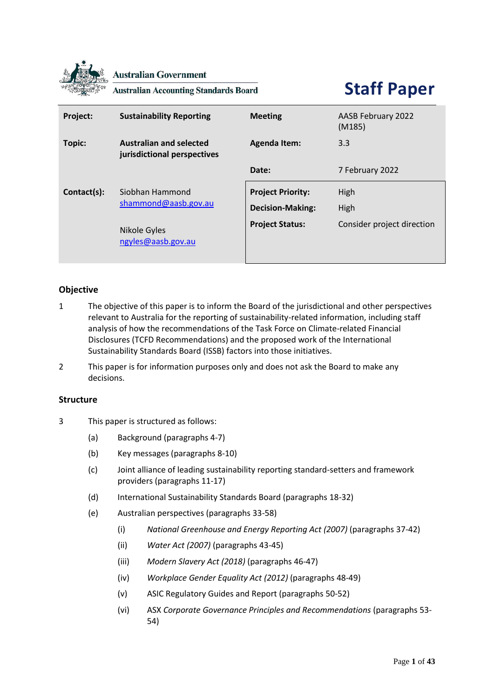

**Australian Government** 

**Australian Accounting Standards Board** 

# **Staff Paper**

| Project:    | <b>Sustainability Reporting</b>                               | <b>Meeting</b>                                      | AASB February 2022<br>(M185) |
|-------------|---------------------------------------------------------------|-----------------------------------------------------|------------------------------|
| Topic:      | <b>Australian and selected</b><br>jurisdictional perspectives | <b>Agenda Item:</b>                                 | 3.3                          |
|             |                                                               | Date:                                               | 7 February 2022              |
| Contact(s): | Siobhan Hammond<br>shammond@aasb.gov.au                       | <b>Project Priority:</b><br><b>Decision-Making:</b> | High<br>High                 |
|             | Nikole Gyles<br>ngyles@aasb.gov.au                            | <b>Project Status:</b>                              | Consider project direction   |

# **Objective**

- 1 The objective of this paper is to inform the Board of the jurisdictional and other perspectives relevant to Australia for the reporting of sustainability-related information, including staff analysis of how the recommendations of the Task Force on Climate-related Financial Disclosures (TCFD Recommendations) and the proposed work of the International Sustainability Standards Board (ISSB) factors into those initiatives.
- 2 This paper is for information purposes only and does not ask the Board to make any decisions.

# **Structure**

- 3 This paper is structured as follows:
	- (a) Background (paragraphs 4-7)
	- (b) Key messages (paragraphs 8-10)
	- (c) Joint alliance of leading sustainability reporting standard-setters and framework providers (paragraphs 11-17)
	- (d) International Sustainability Standards Board (paragraphs 18-32)
	- (e) Australian perspectives (paragraphs 33-58)
		- (i) *National Greenhouse and Energy Reporting Act (2007)* (paragraphs 37-42)
		- (ii) *Water Act (2007)* (paragraphs 43-45)
		- (iii) *Modern Slavery Act (2018)* (paragraphs 46-47)
		- (iv) *Workplace Gender Equality Act (2012)* (paragraphs 48-49)
		- (v) ASIC Regulatory Guides and Report (paragraphs 50-52)
		- (vi) ASX *Corporate Governance Principles and Recommendations* (paragraphs 53- 54)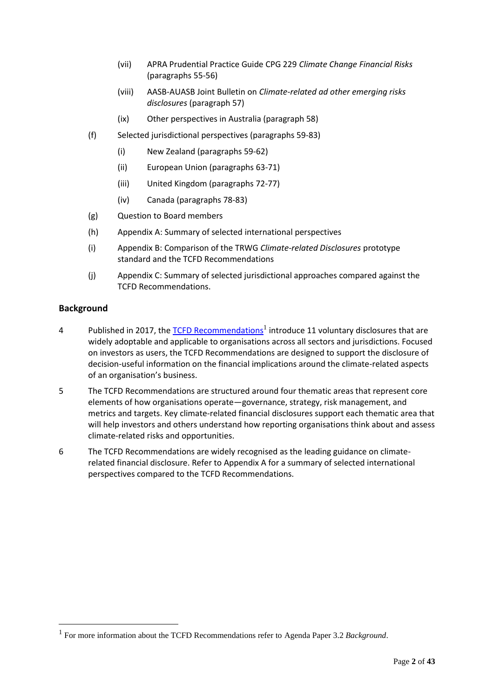- (vii) APRA Prudential Practice Guide CPG 229 *Climate Change Financial Risks* (paragraphs 55-56)
- (viii) AASB-AUASB Joint Bulletin on *Climate-related ad other emerging risks disclosures* (paragraph 57)
- (ix) Other perspectives in Australia (paragraph 58)
- (f) Selected jurisdictional perspectives (paragraphs 59-83)
	- (i) New Zealand (paragraphs 59-62)
	- (ii) European Union (paragraphs 63-71)
	- (iii) United Kingdom (paragraphs 72-77)
	- (iv) Canada (paragraphs 78-83)
- (g) Question to Board members
- (h) Appendix A: Summary of selected international perspectives
- (i) Appendix B: Comparison of the TRWG *Climate-related Disclosures* prototype standard and the TCFD Recommendations
- (j) Appendix C: Summary of selected jurisdictional approaches compared against the TCFD Recommendations.

# **Background**

- 4 Published in 2017, the [TCFD Recommendations](https://assets.bbhub.io/company/sites/60/2021/10/FINAL-2017-TCFD-Report.pdf)<sup>1</sup> introduce 11 voluntary disclosures that are widely adoptable and applicable to organisations across all sectors and jurisdictions. Focused on investors as users, the TCFD Recommendations are designed to support the disclosure of decision-useful information on the financial implications around the climate-related aspects of an organisation's business.
- 5 The TCFD Recommendations are structured around four thematic areas that represent core elements of how organisations operate—governance, strategy, risk management, and metrics and targets. Key climate-related financial disclosures support each thematic area that will help investors and others understand how reporting organisations think about and assess climate-related risks and opportunities.
- 6 The TCFD Recommendations are widely recognised as the leading guidance on climaterelated financial disclosure. Refer to Appendix A for a summary of selected international perspectives compared to the TCFD Recommendations.

<sup>1</sup> For more information about the TCFD Recommendations refer to Agenda Paper 3.2 *Background*.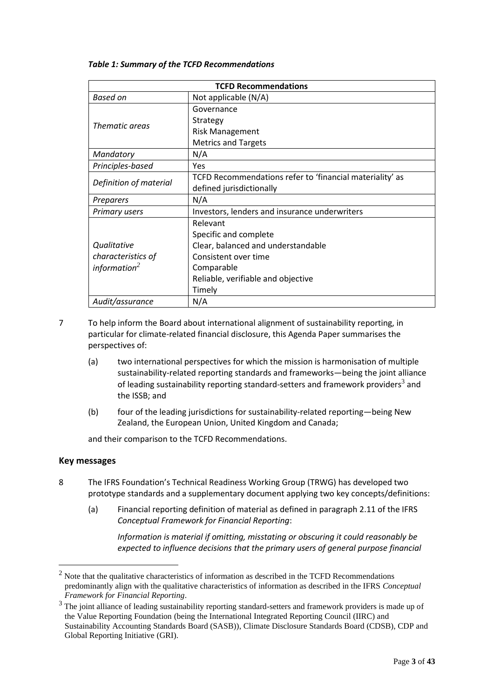| <b>TCFD Recommendations</b> |                                                          |  |  |
|-----------------------------|----------------------------------------------------------|--|--|
| <b>Based on</b>             | Not applicable (N/A)                                     |  |  |
|                             | Governance                                               |  |  |
| Thematic areas              | Strategy                                                 |  |  |
|                             | <b>Risk Management</b>                                   |  |  |
|                             | <b>Metrics and Targets</b>                               |  |  |
| Mandatory                   | N/A                                                      |  |  |
| Principles-based            | Yes                                                      |  |  |
|                             | TCFD Recommendations refer to 'financial materiality' as |  |  |
| Definition of material      | defined jurisdictionally                                 |  |  |
| Preparers                   | N/A                                                      |  |  |
| <b>Primary users</b>        | Investors, lenders and insurance underwriters            |  |  |
|                             | Relevant                                                 |  |  |
|                             | Specific and complete                                    |  |  |
| Qualitative                 | Clear, balanced and understandable                       |  |  |
| characteristics of          | Consistent over time                                     |  |  |
| information $2$             | Comparable                                               |  |  |
|                             | Reliable, verifiable and objective                       |  |  |
|                             | Timely                                                   |  |  |
| Audit/assurance             | N/A                                                      |  |  |

#### *Table 1: Summary of the TCFD Recommendations*

- 7 To help inform the Board about international alignment of sustainability reporting, in particular for climate-related financial disclosure, this Agenda Paper summarises the perspectives of:
	- (a) two international perspectives for which the mission is harmonisation of multiple sustainability-related reporting standards and frameworks—being the joint alliance of leading sustainability reporting standard-setters and framework providers<sup>3</sup> and the ISSB; and
	- (b) four of the leading jurisdictions for sustainability-related reporting—being New Zealand, the European Union, United Kingdom and Canada;

and their comparison to the TCFD Recommendations.

#### **Key messages**

- 8 The IFRS Foundation's Technical Readiness Working Group (TRWG) has developed two prototype standards and a supplementary document applying two key concepts/definitions:
	- (a) Financial reporting definition of material as defined in paragraph 2.11 of the IFRS *Conceptual Framework for Financial Reporting*:

*Information is material if omitting, misstating or obscuring it could reasonably be expected to influence decisions that the primary users of general purpose financial* 

 $2$  Note that the qualitative characteristics of information as described in the TCFD Recommendations predominantly align with the qualitative characteristics of information as described in the IFRS *Conceptual Framework for Financial Reporting*.

<sup>&</sup>lt;sup>3</sup> The joint alliance of leading sustainability reporting standard-setters and framework providers is made up of the Value Reporting Foundation (being the International Integrated Reporting Council (IIRC) and Sustainability Accounting Standards Board (SASB)), Climate Disclosure Standards Board (CDSB), CDP and Global Reporting Initiative (GRI).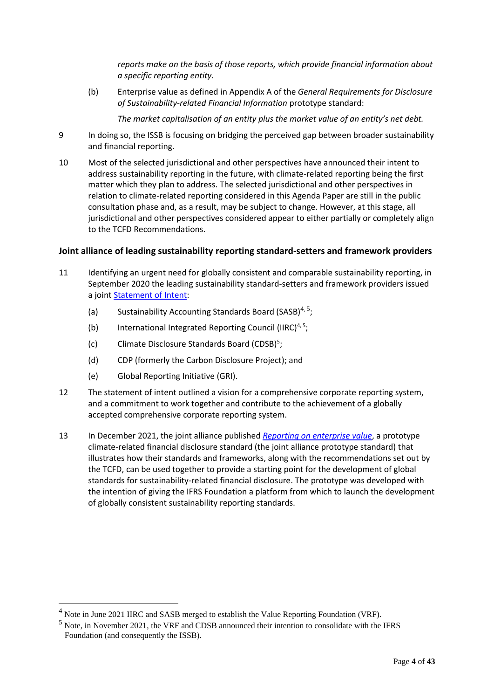*reports make on the basis of those reports, which provide financial information about a specific reporting entity.*

(b) Enterprise value as defined in Appendix A of the *General Requirements for Disclosure of Sustainability-related Financial Information* prototype standard:

*The market capitalisation of an entity plus the market value of an entity's net debt.*

- 9 In doing so, the ISSB is focusing on bridging the perceived gap between broader sustainability and financial reporting.
- 10 Most of the selected jurisdictional and other perspectives have announced their intent to address sustainability reporting in the future, with climate-related reporting being the first matter which they plan to address. The selected jurisdictional and other perspectives in relation to climate-related reporting considered in this Agenda Paper are still in the public consultation phase and, as a result, may be subject to change. However, at this stage, all jurisdictional and other perspectives considered appear to either partially or completely align to the TCFD Recommendations.

# **Joint alliance of leading sustainability reporting standard-setters and framework providers**

- 11 Identifying an urgent need for globally consistent and comparable sustainability reporting, in September 2020 the leading sustainability standard-setters and framework providers issued a joint **Statement of Intent:** 
	- (a) Sustainability Accounting Standards Board (SASB)<sup>4, 5</sup>;
	- (b) International Integrated Reporting Council (IIRC)<sup>4, 5</sup>;
	- (c) Climate Disclosure Standards Board (CDSB)<sup>5</sup>;
	- (d) CDP (formerly the Carbon Disclosure Project); and
	- (e) Global Reporting Initiative (GRI).
- 12 The statement of intent outlined a vision for a comprehensive corporate reporting system, and a commitment to work together and contribute to the achievement of a globally accepted comprehensive corporate reporting system.
- 13 In December 2021, the joint alliance published *[Reporting on enterprise value](https://29kjwb3armds2g3gi4lq2sx1-wpengine.netdna-ssl.com/wp-content/uploads/Reporting-on-enterprise-value_climate-prototype_Dec20.pdf)*, a prototype climate-related financial disclosure standard (the joint alliance prototype standard) that illustrates how their standards and frameworks, along with the recommendations set out by the TCFD, can be used together to provide a starting point for the development of global standards for sustainability-related financial disclosure. The prototype was developed with the intention of giving the IFRS Foundation a platform from which to launch the development of globally consistent sustainability reporting standards.

<sup>&</sup>lt;sup>4</sup> Note in June 2021 IIRC and SASB merged to establish the Value Reporting Foundation (VRF).

<sup>5</sup> Note, in November 2021, the VRF and CDSB announced their intention to consolidate with the IFRS Foundation (and consequently the ISSB).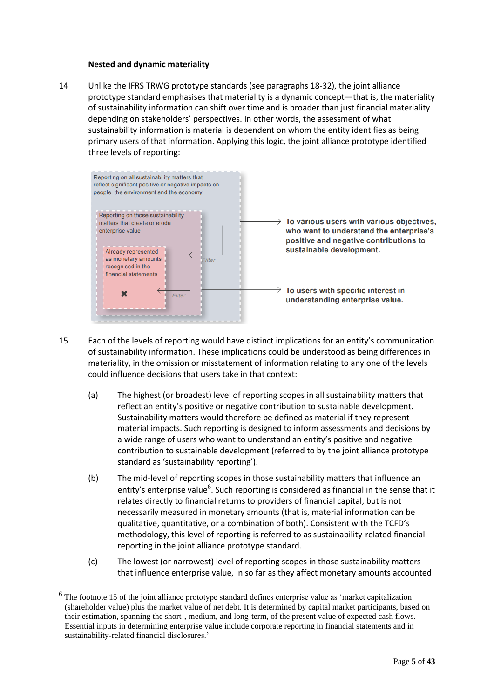#### **Nested and dynamic materiality**

14 Unlike the IFRS TRWG prototype standards (see paragraphs 18-32), the joint alliance prototype standard emphasises that materiality is a dynamic concept—that is, the materiality of sustainability information can shift over time and is broader than just financial materiality depending on stakeholders' perspectives. In other words, the assessment of what sustainability information is material is dependent on whom the entity identifies as being primary users of that information. Applying this logic, the joint alliance prototype identified three levels of reporting:



- 15 Each of the levels of reporting would have distinct implications for an entity's communication of sustainability information. These implications could be understood as being differences in materiality, in the omission or misstatement of information relating to any one of the levels could influence decisions that users take in that context:
	- (a) The highest (or broadest) level of reporting scopes in all sustainability matters that reflect an entity's positive or negative contribution to sustainable development. Sustainability matters would therefore be defined as material if they represent material impacts. Such reporting is designed to inform assessments and decisions by a wide range of users who want to understand an entity's positive and negative contribution to sustainable development (referred to by the joint alliance prototype standard as 'sustainability reporting').
	- (b) The mid-level of reporting scopes in those sustainability matters that influence an entity's enterprise value<sup>6</sup>. Such reporting is considered as financial in the sense that it relates directly to financial returns to providers of financial capital, but is not necessarily measured in monetary amounts (that is, material information can be qualitative, quantitative, or a combination of both). Consistent with the TCFD's methodology, this level of reporting is referred to as sustainability-related financial reporting in the joint alliance prototype standard.
	- (c) The lowest (or narrowest) level of reporting scopes in those sustainability matters that influence enterprise value, in so far as they affect monetary amounts accounted

The footnote 15 of the joint alliance prototype standard defines enterprise value as 'market capitalization (shareholder value) plus the market value of net debt. It is determined by capital market participants, based on their estimation, spanning the short-, medium, and long-term, of the present value of expected cash flows. Essential inputs in determining enterprise value include corporate reporting in financial statements and in sustainability-related financial disclosures.'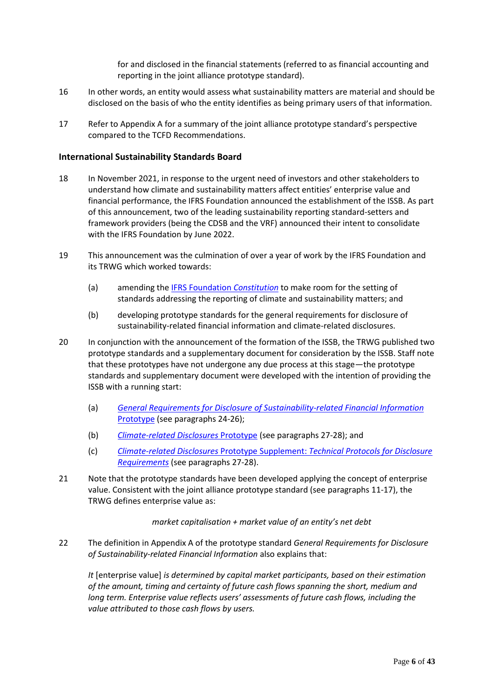for and disclosed in the financial statements (referred to as financial accounting and reporting in the joint alliance prototype standard).

- 16 In other words, an entity would assess what sustainability matters are material and should be disclosed on the basis of who the entity identifies as being primary users of that information.
- 17 Refer to Appendix A for a summary of the joint alliance prototype standard's perspective compared to the TCFD Recommendations.

#### **International Sustainability Standards Board**

- 18 In November 2021, in response to the urgent need of investors and other stakeholders to understand how climate and sustainability matters affect entities' enterprise value and financial performance, the IFRS Foundation announced the establishment of the ISSB. As part of this announcement, two of the leading sustainability reporting standard-setters and framework providers (being the CDSB and the VRF) announced their intent to consolidate with the IFRS Foundation by June 2022.
- 19 This announcement was the culmination of over a year of work by the IFRS Foundation and its TRWG which worked towards:
	- (a) amending the IFRS Foundation *[Constitution](https://www.ifrs.org/content/dam/ifrs/about-us/legal-and-governance/constitution-docs/ifrs-foundation-constitution-2021.pdf)* to make room for the setting of standards addressing the reporting of climate and sustainability matters; and
	- (b) developing prototype standards for the general requirements for disclosure of sustainability-related financial information and climate-related disclosures.
- 20 In conjunction with the announcement of the formation of the ISSB, the TRWG published two prototype standards and a supplementary document for consideration by the ISSB. Staff note that these prototypes have not undergone any due process at this stage—the prototype standards and supplementary document were developed with the intention of providing the ISSB with a running start:
	- (a) *[General Requirements for Disclosure of Sustainability-related Financial Information](https://www.ifrs.org/content/dam/ifrs/groups/trwg/trwg-general-requirements-prototype.pdf)* [Prototype](https://www.ifrs.org/content/dam/ifrs/groups/trwg/trwg-general-requirements-prototype.pdf) (see paragraphs 24-26);
	- (b) *[Climate-related Disclosures](https://www.ifrs.org/content/dam/ifrs/groups/trwg/trwg-climate-related-disclosures-prototype.pdf)* Prototype (see paragraphs 27-28); and
	- (c) *Climate-related Disclosures* Prototype Supplement: *[Technical Protocols for Disclosure](https://www.ifrs.org/content/dam/ifrs/groups/trwg/climate-related-disclosures-prototype-technical-protocols-supplement.pdf)  [Requirements](https://www.ifrs.org/content/dam/ifrs/groups/trwg/climate-related-disclosures-prototype-technical-protocols-supplement.pdf)* (see paragraphs 27-28).
- 21 Note that the prototype standards have been developed applying the concept of enterprise value. Consistent with the joint alliance prototype standard (see paragraphs 11-17), the TRWG defines enterprise value as:

*market capitalisation + market value of an entity's net debt*

22 The definition in Appendix A of the prototype standard *General Requirements for Disclosure of Sustainability-related Financial Information* also explains that:

*It* [enterprise value] *is determined by capital market participants, based on their estimation of the amount, timing and certainty of future cash flows spanning the short, medium and long term. Enterprise value reflects users' assessments of future cash flows, including the value attributed to those cash flows by users.*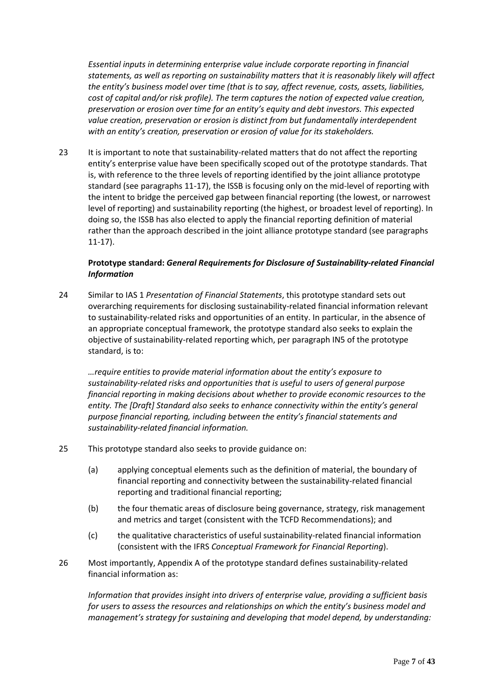*Essential inputs in determining enterprise value include corporate reporting in financial statements, as well as reporting on sustainability matters that it is reasonably likely will affect the entity's business model over time (that is to say, affect revenue, costs, assets, liabilities, cost of capital and/or risk profile). The term captures the notion of expected value creation, preservation or erosion over time for an entity's equity and debt investors. This expected value creation, preservation or erosion is distinct from but fundamentally interdependent with an entity's creation, preservation or erosion of value for its stakeholders.*

23 It is important to note that sustainability-related matters that do not affect the reporting entity's enterprise value have been specifically scoped out of the prototype standards. That is, with reference to the three levels of reporting identified by the joint alliance prototype standard (see paragraphs 11-17), the ISSB is focusing only on the mid-level of reporting with the intent to bridge the perceived gap between financial reporting (the lowest, or narrowest level of reporting) and sustainability reporting (the highest, or broadest level of reporting). In doing so, the ISSB has also elected to apply the financial reporting definition of material rather than the approach described in the joint alliance prototype standard (see paragraphs 11-17).

# **Prototype standard:** *General Requirements for Disclosure of Sustainability-related Financial Information*

24 Similar to IAS 1 *Presentation of Financial Statements*, this prototype standard sets out overarching requirements for disclosing sustainability-related financial information relevant to sustainability-related risks and opportunities of an entity. In particular, in the absence of an appropriate conceptual framework, the prototype standard also seeks to explain the objective of sustainability-related reporting which, per paragraph IN5 of the prototype standard, is to:

*…require entities to provide material information about the entity's exposure to sustainability-related risks and opportunities that is useful to users of general purpose financial reporting in making decisions about whether to provide economic resources to the entity. The [Draft] Standard also seeks to enhance connectivity within the entity's general purpose financial reporting, including between the entity's financial statements and sustainability-related financial information.*

- 25 This prototype standard also seeks to provide guidance on:
	- (a) applying conceptual elements such as the definition of material, the boundary of financial reporting and connectivity between the sustainability-related financial reporting and traditional financial reporting;
	- (b) the four thematic areas of disclosure being governance, strategy, risk management and metrics and target (consistent with the TCFD Recommendations); and
	- (c) the qualitative characteristics of useful sustainability-related financial information (consistent with the IFRS *Conceptual Framework for Financial Reporting*).
- 26 Most importantly, Appendix A of the prototype standard defines sustainability-related financial information as:

*Information that provides insight into drivers of enterprise value, providing a sufficient basis for users to assess the resources and relationships on which the entity's business model and management's strategy for sustaining and developing that model depend, by understanding:*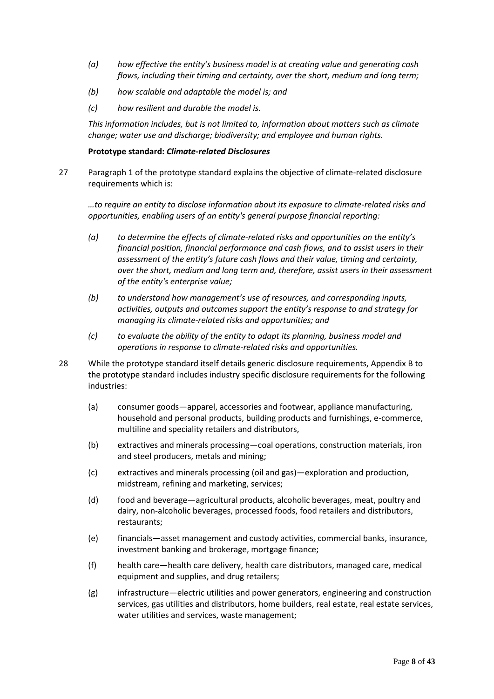- *(a) how effective the entity's business model is at creating value and generating cash flows, including their timing and certainty, over the short, medium and long term;*
- *(b) how scalable and adaptable the model is; and*
- *(c) how resilient and durable the model is.*

*This information includes, but is not limited to, information about matters such as climate change; water use and discharge; biodiversity; and employee and human rights.*

#### **Prototype standard:** *Climate-related Disclosures*

27 Paragraph 1 of the prototype standard explains the objective of climate-related disclosure requirements which is:

*…to require an entity to disclose information about its exposure to climate-related risks and opportunities, enabling users of an entity's general purpose financial reporting:*

- *(a) to determine the effects of climate-related risks and opportunities on the entity's financial position, financial performance and cash flows, and to assist users in their assessment of the entity's future cash flows and their value, timing and certainty, over the short, medium and long term and, therefore, assist users in their assessment of the entity's enterprise value;*
- *(b) to understand how management's use of resources, and corresponding inputs, activities, outputs and outcomes support the entity's response to and strategy for managing its climate-related risks and opportunities; and*
- *(c) to evaluate the ability of the entity to adapt its planning, business model and operations in response to climate-related risks and opportunities.*
- 28 While the prototype standard itself details generic disclosure requirements, Appendix B to the prototype standard includes industry specific disclosure requirements for the following industries:
	- (a) consumer goods—apparel, accessories and footwear, appliance manufacturing, household and personal products, building products and furnishings, e-commerce, multiline and speciality retailers and distributors,
	- (b) extractives and minerals processing—coal operations, construction materials, iron and steel producers, metals and mining;
	- (c) extractives and minerals processing (oil and gas)—exploration and production, midstream, refining and marketing, services;
	- (d) food and beverage—agricultural products, alcoholic beverages, meat, poultry and dairy, non-alcoholic beverages, processed foods, food retailers and distributors, restaurants;
	- (e) financials—asset management and custody activities, commercial banks, insurance, investment banking and brokerage, mortgage finance;
	- (f) health care—health care delivery, health care distributors, managed care, medical equipment and supplies, and drug retailers;
	- (g) infrastructure—electric utilities and power generators, engineering and construction services, gas utilities and distributors, home builders, real estate, real estate services, water utilities and services, waste management;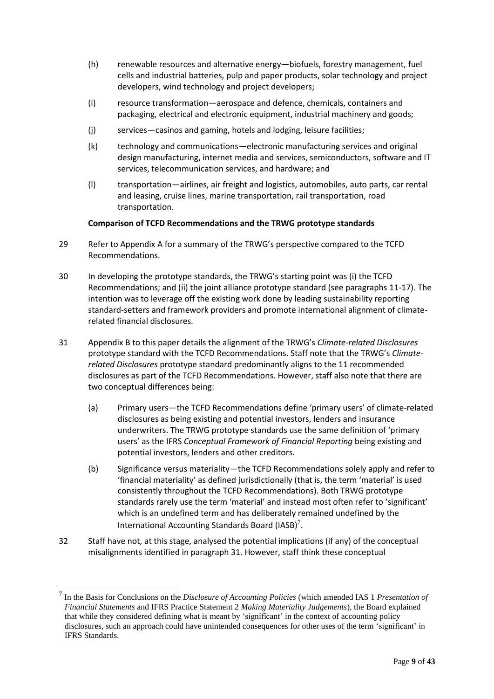- (h) renewable resources and alternative energy—biofuels, forestry management, fuel cells and industrial batteries, pulp and paper products, solar technology and project developers, wind technology and project developers;
- (i) resource transformation—aerospace and defence, chemicals, containers and packaging, electrical and electronic equipment, industrial machinery and goods;
- (j) services—casinos and gaming, hotels and lodging, leisure facilities;
- (k) technology and communications—electronic manufacturing services and original design manufacturing, internet media and services, semiconductors, software and IT services, telecommunication services, and hardware; and
- (l) transportation—airlines, air freight and logistics, automobiles, auto parts, car rental and leasing, cruise lines, marine transportation, rail transportation, road transportation.

# **Comparison of TCFD Recommendations and the TRWG prototype standards**

- 29 Refer to Appendix A for a summary of the TRWG's perspective compared to the TCFD Recommendations.
- 30 In developing the prototype standards, the TRWG's starting point was (i) the TCFD Recommendations; and (ii) the joint alliance prototype standard (see paragraphs 11-17). The intention was to leverage off the existing work done by leading sustainability reporting standard-setters and framework providers and promote international alignment of climaterelated financial disclosures.
- 31 Appendix B to this paper details the alignment of the TRWG's *Climate-related Disclosures* prototype standard with the TCFD Recommendations. Staff note that the TRWG's *Climaterelated Disclosures* prototype standard predominantly aligns to the 11 recommended disclosures as part of the TCFD Recommendations. However, staff also note that there are two conceptual differences being:
	- (a) Primary users—the TCFD Recommendations define 'primary users' of climate-related disclosures as being existing and potential investors, lenders and insurance underwriters. The TRWG prototype standards use the same definition of 'primary users' as the IFRS *Conceptual Framework of Financial Reporting* being existing and potential investors, lenders and other creditors.
	- (b) Significance versus materiality—the TCFD Recommendations solely apply and refer to 'financial materiality' as defined jurisdictionally (that is, the term 'material' is used consistently throughout the TCFD Recommendations). Both TRWG prototype standards rarely use the term 'material' and instead most often refer to 'significant' which is an undefined term and has deliberately remained undefined by the International Accounting Standards Board (IASB)<sup>7</sup>.
- 32 Staff have not, at this stage, analysed the potential implications (if any) of the conceptual misalignments identified in paragraph 31. However, staff think these conceptual

<sup>7</sup> In the Basis for Conclusions on the *Disclosure of Accounting Policies* (which amended IAS 1 *Presentation of Financial Statements* and IFRS Practice Statement 2 *Making Materiality Judgements*), the Board explained that while they considered defining what is meant by 'significant' in the context of accounting policy disclosures, such an approach could have unintended consequences for other uses of the term 'significant' in IFRS Standards.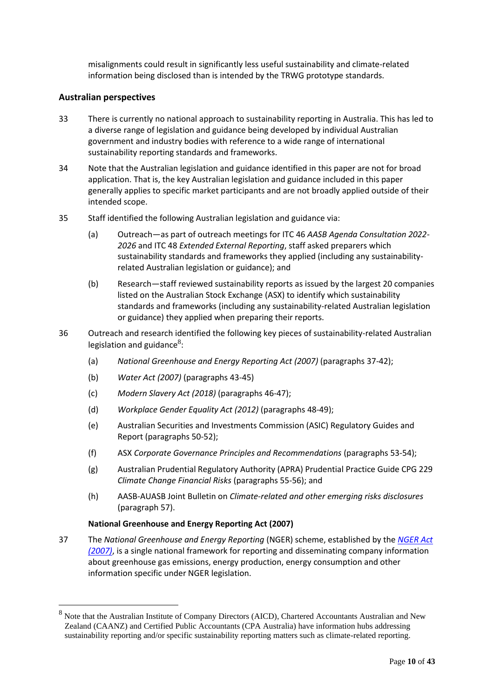misalignments could result in significantly less useful sustainability and climate-related information being disclosed than is intended by the TRWG prototype standards.

# **Australian perspectives**

- 33 There is currently no national approach to sustainability reporting in Australia. This has led to a diverse range of legislation and guidance being developed by individual Australian government and industry bodies with reference to a wide range of international sustainability reporting standards and frameworks.
- 34 Note that the Australian legislation and guidance identified in this paper are not for broad application. That is, the key Australian legislation and guidance included in this paper generally applies to specific market participants and are not broadly applied outside of their intended scope.
- 35 Staff identified the following Australian legislation and guidance via:
	- (a) Outreach—as part of outreach meetings for ITC 46 *AASB Agenda Consultation 2022- 2026* and ITC 48 *Extended External Reporting*, staff asked preparers which sustainability standards and frameworks they applied (including any sustainabilityrelated Australian legislation or guidance); and
	- (b) Research—staff reviewed sustainability reports as issued by the largest 20 companies listed on the Australian Stock Exchange (ASX) to identify which sustainability standards and frameworks (including any sustainability-related Australian legislation or guidance) they applied when preparing their reports.
- 36 Outreach and research identified the following key pieces of sustainability-related Australian legislation and guidance $^{8}$ :
	- (a) *National Greenhouse and Energy Reporting Act (2007)* (paragraphs 37-42);
	- (b) *Water Act (2007)* (paragraphs 43-45)
	- (c) *Modern Slavery Act (2018)* (paragraphs 46-47);
	- (d) *Workplace Gender Equality Act (2012)* (paragraphs 48-49);
	- (e) Australian Securities and Investments Commission (ASIC) Regulatory Guides and Report (paragraphs 50-52);
	- (f) ASX *Corporate Governance Principles and Recommendations* (paragraphs 53-54);
	- (g) Australian Prudential Regulatory Authority (APRA) Prudential Practice Guide CPG 229 *Climate Change Financial Risks* (paragraphs 55-56); and
	- (h) AASB-AUASB Joint Bulletin on *Climate-related and other emerging risks disclosures* (paragraph 57).

#### **National Greenhouse and Energy Reporting Act (2007)**

37 The *National Greenhouse and Energy Reporting* (NGER) scheme, established by the *[NGER Act](https://www.legislation.gov.au/Details/C2021C00509)  [\(2007\)](https://www.legislation.gov.au/Details/C2021C00509)*, is a single national framework for reporting and disseminating company information about greenhouse gas emissions, energy production, energy consumption and other information specific under NGER legislation.

<sup>&</sup>lt;sup>8</sup> Note that the Australian Institute of Company Directors (AICD), Chartered Accountants Australian and New Zealand (CAANZ) and Certified Public Accountants (CPA Australia) have information hubs addressing sustainability reporting and/or specific sustainability reporting matters such as climate-related reporting.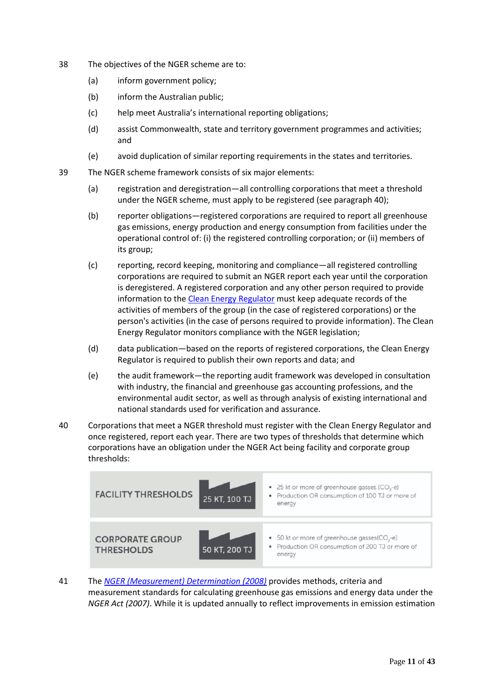- 38 The objectives of the NGER scheme are to:
	- (a) inform government policy;
	- (b) inform the Australian public;
	- (c) help meet Australia's international reporting obligations;
	- (d) assist Commonwealth, state and territory government programmes and activities; and
	- (e) avoid duplication of similar reporting requirements in the states and territories.
- 39 The NGER scheme framework consists of six major elements:
	- (a) registration and deregistration—all controlling corporations that meet a threshold under the NGER scheme, must apply to be registered (see paragraph 40);
	- (b) reporter obligations—registered corporations are required to report all greenhouse gas emissions, energy production and energy consumption from facilities under the operational control of: (i) the registered controlling corporation; or (ii) members of its group;
	- (c) reporting, record keeping, monitoring and compliance—all registered controlling corporations are required to submit an NGER report each year until the corporation is deregistered. A registered corporation and any other person required to provide information to the [Clean Energy Regulator](http://www.cleanenergyregulator.gov.au/About/Pages/default.aspx) must keep adequate records of the activities of members of the group (in the case of registered corporations) or the person's activities (in the case of persons required to provide information). The Clean Energy Regulator monitors compliance with the NGER legislation;
	- (d) data publication—based on the reports of registered corporations, the Clean Energy Regulator is required to publish their own reports and data; and
	- (e) the audit framework—the reporting audit framework was developed in consultation with industry, the financial and greenhouse gas accounting professions, and the environmental audit sector, as well as through analysis of existing international and national standards used for verification and assurance.
- 40 Corporations that meet a NGER threshold must register with the Clean Energy Regulator and once registered, report each year. There are two types of thresholds that determine which corporations have an obligation under the NGER Act being facility and corporate group thresholds:



41 The *[NGER \(Measurement\) Determination \(2008\)](https://www.legislation.gov.au/Details/F2021C00740)* provides methods, criteria and measurement standards for calculating greenhouse gas emissions and energy data under the *NGER Act (2007)*. While it is updated annually to reflect improvements in emission estimation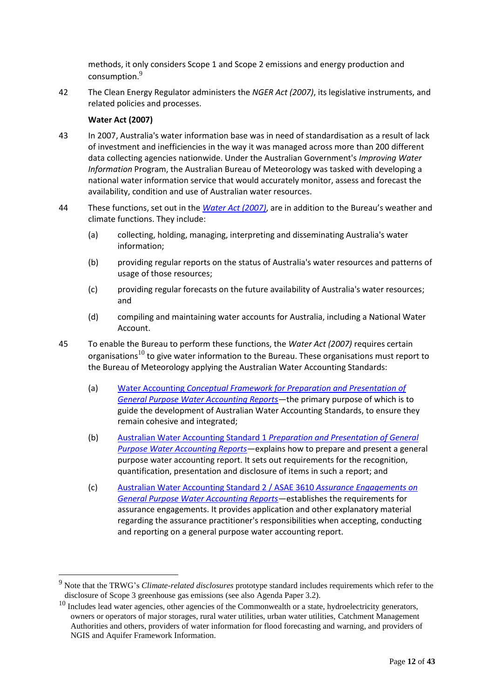methods, it only considers Scope 1 and Scope 2 emissions and energy production and consumption.<sup>9</sup>

42 The Clean Energy Regulator administers the *NGER Act (2007)*, its legislative instruments, and related policies and processes.

# **Water Act (2007)**

- 43 In 2007, Australia's water information base was in need of standardisation as a result of lack of investment and inefficiencies in the way it was managed across more than 200 different data collecting agencies nationwide. Under the Australian Government's *Improving Water Information* Program, the Australian Bureau of Meteorology was tasked with developing a national water information service that would accurately monitor, assess and forecast the availability, condition and use of Australian water resources.
- 44 These functions, set out in the *[Water Act \(2007\)](https://www.legislation.gov.au/Details/C2021C00539)*, are in addition to the Bureau's weather and climate functions. They include:
	- (a) collecting, holding, managing, interpreting and disseminating Australia's water information;
	- (b) providing regular reports on the status of Australia's water resources and patterns of usage of those resources;
	- (c) providing regular forecasts on the future availability of Australia's water resources; and
	- (d) compiling and maintaining water accounts for Australia, including a National Water Account.
- 45 To enable the Bureau to perform these functions, the *Water Act (2007)* requires certain organisations<sup>10</sup> to give water information to the Bureau. These organisations must report to the Bureau of Meteorology applying the Australian Water Accounting Standards:
	- (a) Water Accounting *Conceptual Framework [for Preparation and Presentation of](http://www.bom.gov.au/water/standards/wasb/documents/Water-Accounting-Conceptual-Framework-Accessible.pdf)  [General Purpose Water Accounting Reports](http://www.bom.gov.au/water/standards/wasb/documents/Water-Accounting-Conceptual-Framework-Accessible.pdf)*—the primary purpose of which is to guide the development of Australian Water Accounting Standards, to ensure they remain cohesive and integrated;
	- (b) Australian Water Accounting Standard 1 *[Preparation and Presentation of General](http://www.bom.gov.au/water/standards/documents/awas1_v1.0.pdf)  [Purpose Water Accounting Reports](http://www.bom.gov.au/water/standards/documents/awas1_v1.0.pdf)*—explains how to prepare and present a general purpose water accounting report. It sets out requirements for the recognition, quantification, presentation and disclosure of items in such a report; and
	- (c) [Australian Water Accounting Standard 2](http://www.bom.gov.au/water/about/publications/document/awas2.pdf) / ASAE 3610 *Assurance Engagements on [General Purpose Water Accounting Reports](http://www.bom.gov.au/water/about/publications/document/awas2.pdf)*—establishes the requirements for assurance engagements. It provides application and other explanatory material regarding the assurance practitioner's responsibilities when accepting, conducting and reporting on a general purpose water accounting report.

<sup>9</sup> Note that the TRWG's *Climate-related disclosures* prototype standard includes requirements which refer to the disclosure of Scope 3 greenhouse gas emissions (see also Agenda Paper 3.2).

 $10$  Includes lead water agencies, other agencies of the Commonwealth or a state, hydroelectricity generators, owners or operators of major storages, rural water utilities, urban water utilities, Catchment Management Authorities and others, providers of water information for flood forecasting and warning, and providers of NGIS and Aquifer Framework Information.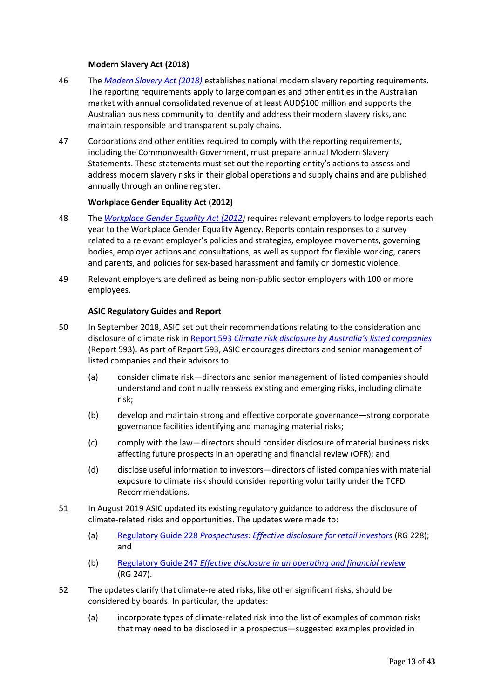#### **Modern Slavery Act (2018)**

- 46 The *[Modern Slavery Act \(2018\)](https://www.legislation.gov.au/Details/C2018A00153)* establishes national modern slavery reporting requirements. The reporting requirements apply to large companies and other entities in the Australian market with annual consolidated revenue of at least AUD\$100 million and supports the Australian business community to identify and address their modern slavery risks, and maintain responsible and transparent supply chains.
- 47 Corporations and other entities required to comply with the reporting requirements, including the Commonwealth Government, must prepare annual Modern Slavery Statements. These statements must set out the reporting entity's actions to assess and address modern slavery risks in their global operations and supply chains and are published annually through an online register.

#### **Workplace Gender Equality Act (2012)**

- 48 The *[Workplace Gender Equality Act \(2012\)](https://www.legislation.gov.au/Details/C2016C00895)* requires relevant employers to lodge reports each year to the Workplace Gender Equality Agency. Reports contain responses to a survey related to a relevant employer's policies and strategies, employee movements, governing bodies, employer actions and consultations, as well as support for flexible working, carers and parents, and policies for sex-based harassment and family or domestic violence.
- 49 Relevant employers are defined as being non-public sector employers with 100 or more employees.

#### **ASIC Regulatory Guides and Report**

- 50 In September 2018, ASIC set out their recommendations relating to the consideration and disclosure of climate risk in Report 593 *[Climate risk disclosure by Australia's listed c](https://download.asic.gov.au/media/4871341/rep593-published-20-september-2018.pdf)ompanies* (Report 593). As part of Report 593, ASIC encourages directors and senior management of listed companies and their advisors to:
	- (a) consider climate risk—directors and senior management of listed companies should understand and continually reassess existing and emerging risks, including climate risk;
	- (b) develop and maintain strong and effective corporate governance—strong corporate governance facilities identifying and managing material risks;
	- (c) comply with the law—directors should consider disclosure of material business risks affecting future prospects in an operating and financial review (OFR); and
	- (d) disclose useful information to investors—directors of listed companies with material exposure to climate risk should consider reporting voluntarily under the TCFD Recommendations.
- 51 In August 2019 ASIC updated its existing regulatory guidance to address the disclosure of climate-related risks and opportunities. The updates were made to:
	- (a) Regulatory Guide 228 *[Prospectuses: Effective disclosure for retail investors](https://download.asic.gov.au/media/5230057/rg228-published-12-august-2019.pdf)* (RG 228); and
	- (b) Regulatory Guide 247 *[Effective disclosure in an operating and financial review](https://download.asic.gov.au/media/5230063/rg247-published-12-august-2019.pdf)* (RG 247).
- 52 The updates clarify that climate-related risks, like other significant risks, should be considered by boards. In particular, the updates:
	- (a) incorporate types of climate-related risk into the list of examples of common risks that may need to be disclosed in a prospectus—suggested examples provided in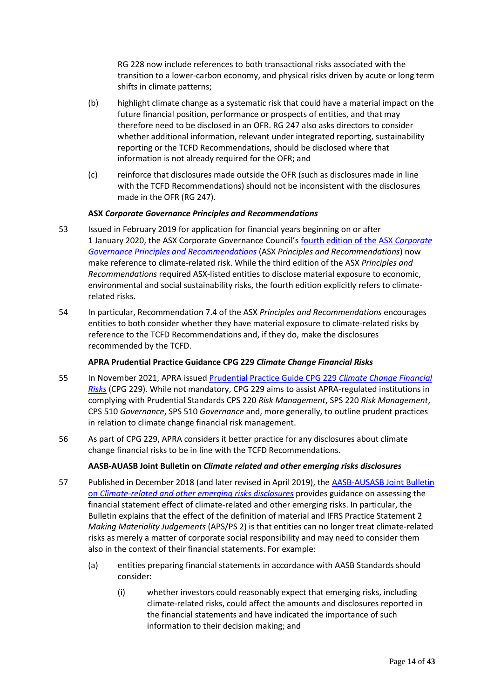RG 228 now include references to both transactional risks associated with the transition to a lower-carbon economy, and physical risks driven by acute or long term shifts in climate patterns;

- (b) highlight climate change as a systematic risk that could have a material impact on the future financial position, performance or prospects of entities, and that may therefore need to be disclosed in an OFR. RG 247 also asks directors to consider whether additional information, relevant under integrated reporting, sustainability reporting or the TCFD Recommendations, should be disclosed where that information is not already required for the OFR; and
- (c) reinforce that disclosures made outside the OFR (such as disclosures made in line with the TCFD Recommendations) should not be inconsistent with the disclosures made in the OFR (RG 247).

# **ASX** *Corporate Governance Principles and Recommendations*

- 53 Issued in February 2019 for application for financial years beginning on or after 1 January 2020, the ASX Corporate Governance Council's [fourth edition of the ASX](https://www.asx.com.au/documents/regulation/cgc-principles-and-recommendations-fourth-edn.pdf) *Corporate [Governance Principles and Recommendations](https://www.asx.com.au/documents/regulation/cgc-principles-and-recommendations-fourth-edn.pdf)* (ASX *Principles and Recommendations*) now make reference to climate-related risk. While the third edition of the ASX *Principles and Recommendations* required ASX-listed entities to disclose material exposure to economic, environmental and social sustainability risks, the fourth edition explicitly refers to climaterelated risks.
- 54 In particular, Recommendation 7.4 of the ASX *Principles and Recommendations* encourages entities to both consider whether they have material exposure to climate-related risks by reference to the TCFD Recommendations and, if they do, make the disclosures recommended by the TCFD.

#### **APRA Prudential Practice Guidance CPG 229** *Climate Change Financial Risks*

- 55 In November 2021, APRA issued [Prudential Practice Guide CPG 229](https://www.apra.gov.au/sites/default/files/2021-11/Final%20Prudential%20Practice%20Guide%20CPG%20229%20Climate%20Change%20Financial%20Risks.pdf) *Climate Change Financial [Risks](https://www.apra.gov.au/sites/default/files/2021-11/Final%20Prudential%20Practice%20Guide%20CPG%20229%20Climate%20Change%20Financial%20Risks.pdf)* (CPG 229). While not mandatory, CPG 229 aims to assist APRA-regulated institutions in complying with Prudential Standards CPS 220 *Risk Management*, SPS 220 *Risk Management*, CPS 510 *Governance*, SPS 510 *Governance* and, more generally, to outline prudent practices in relation to climate change financial risk management.
- 56 As part of CPG 229, APRA considers it better practice for any disclosures about climate change financial risks to be in line with the TCFD Recommendations.

# **AASB-AUASB Joint Bulletin on** *Climate related and other emerging risks disclosures*

- 57 Published in December 2018 (and later revised in April 2019), the [AASB-AUSASB Joint Bulletin](https://www.aasb.gov.au/admin/file/content102/c3/AASB_AUASBJointBulletin.pdf)  on *[Climate-related and other emerging risks disclosures](https://www.aasb.gov.au/admin/file/content102/c3/AASB_AUASBJointBulletin.pdf)* provides guidance on assessing the financial statement effect of climate-related and other emerging risks. In particular, the Bulletin explains that the effect of the definition of material and IFRS Practice Statement 2 *Making Materiality Judgements* (APS/PS 2) is that entities can no longer treat climate-related risks as merely a matter of corporate social responsibility and may need to consider them also in the context of their financial statements. For example:
	- (a) entities preparing financial statements in accordance with AASB Standards should consider:
		- (i) whether investors could reasonably expect that emerging risks, including climate-related risks, could affect the amounts and disclosures reported in the financial statements and have indicated the importance of such information to their decision making; and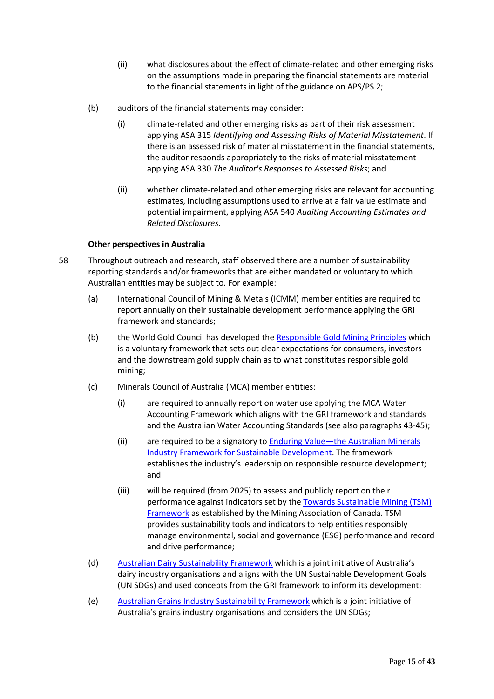- (ii) what disclosures about the effect of climate-related and other emerging risks on the assumptions made in preparing the financial statements are material to the financial statements in light of the guidance on APS/PS 2;
- (b) auditors of the financial statements may consider:
	- (i) climate-related and other emerging risks as part of their risk assessment applying ASA 315 *Identifying and Assessing Risks of Material Misstatement*. If there is an assessed risk of material misstatement in the financial statements, the auditor responds appropriately to the risks of material misstatement applying ASA 330 *The Auditor's Responses to Assessed Risks*; and
	- (ii) whether climate-related and other emerging risks are relevant for accounting estimates, including assumptions used to arrive at a fair value estimate and potential impairment, applying ASA 540 *Auditing Accounting Estimates and Related Disclosures*.

#### **Other perspectives in Australia**

- 58 Throughout outreach and research, staff observed there are a number of sustainability reporting standards and/or frameworks that are either mandated or voluntary to which Australian entities may be subject to. For example:
	- (a) International Council of Mining & Metals (ICMM) member entities are required to report annually on their sustainable development performance applying the GRI framework and standards;
	- (b) the World Gold Council has developed the [Responsible Gold Mining Principles](https://www.gold.org/about-gold/gold-supply/responsible-gold/responsible-gold-mining-principles) which is a voluntary framework that sets out clear expectations for consumers, investors and the downstream gold supply chain as to what constitutes responsible gold mining;
	- (c) Minerals Council of Australia (MCA) member entities:
		- (i) are required to annually report on water use applying the MCA Water Accounting Framework which aligns with the GRI framework and standards and the Australian Water Accounting Standards (see also paragraphs 43-45);
		- (ii) are required to be a signatory to Enduring Value—[the Australian Minerals](https://www.minerals.org.au/enduring-value-framework)  [Industry Framework for Sustainable Development.](https://www.minerals.org.au/enduring-value-framework) The framework establishes the industry's leadership on responsible resource development; and
		- (iii) will be required (from 2025) to assess and publicly report on their performance against indicators set by th[e Towards Sustainable Mining \(TSM\)](https://mining.ca/towards-sustainable-mining/protocols-frameworks/)  [Framework](https://mining.ca/towards-sustainable-mining/protocols-frameworks/) as established by the Mining Association of Canada. TSM provides sustainability tools and indicators to help entities responsibly manage environmental, social and governance (ESG) performance and record and drive performance;
	- (d) [Australian Dairy Sustainability Framework](https://www.dairy.com.au/sustainability/australian-dairy-sustainability-framework) which is a joint initiative of Australia's dairy industry organisations and aligns with the UN Sustainable Development Goals (UN SDGs) and used concepts from the GRI framework to inform its development;
	- (e) [Australian Grains Industry Sustainability Framework](https://cdn.sanity.io/files/1nr0ob5f/production/459fbfea07cfed646b5c78a37f730b2368250560.pdf) which is a joint initiative of Australia's grains industry organisations and considers the UN SDGs;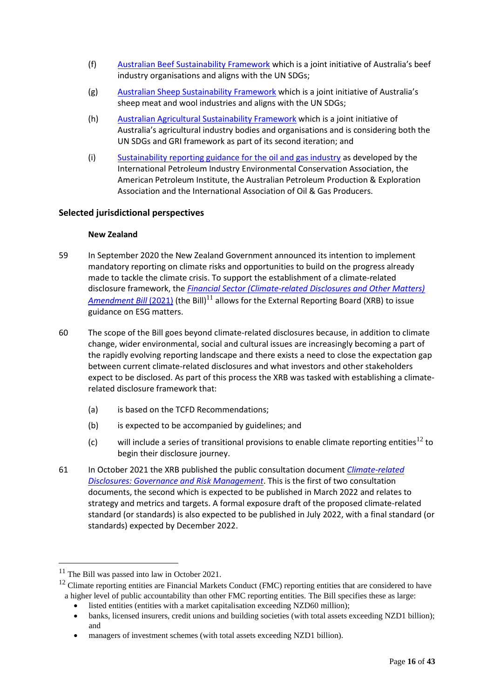- (f) [Australian Beef Sustainability Framework](https://www.sustainableaustralianbeef.com.au/the-framework/) which is a joint initiative of Australia's beef industry organisations and aligns with the UN SDGs;
- (g) [Australian Sheep Sustainability Framework](https://www.sheepsustainabilityframework.com.au/the-framework/about-the-framework/) which is a joint initiative of Australia's sheep meat and wool industries and aligns with the UN SDGs;
- (h) [Australian Agricultural Sustainability Framework](https://www.farminstitute.org.au/wp-content/uploads/2021/11/AASF-V2.pdf) which is a joint initiative of Australia's agricultural industry bodies and organisations and is considering both the UN SDGs and GRI framework as part of its second iteration; and
- (i) [Sustainability reporting guidance for the oil and gas industry](https://www.ipieca.org/media/5115/ipieca_sustainability-guide-2020.pdf) as developed by the International Petroleum Industry Environmental Conservation Association, the American Petroleum Institute, the Australian Petroleum Production & Exploration Association and the International Association of Oil & Gas Producers.

# **Selected jurisdictional perspectives**

# **New Zealand**

- 59 In September 2020 the New Zealand Government announced its intention to implement mandatory reporting on climate risks and opportunities to build on the progress already made to tackle the climate crisis. To support the establishment of a climate-related disclosure framework, the *[Financial Sector \(Climate-related Disclosures and Other Matters\)](https://legislation.govt.nz/bill/government/2021/0030/latest/LMS479633.html?src=qs)  [Amendment Bill](https://legislation.govt.nz/bill/government/2021/0030/latest/LMS479633.html?src=qs)* (2021) (the Bill)<sup>11</sup> allows for the External Reporting Board (XRB) to issue guidance on ESG matters.
- 60 The scope of the Bill goes beyond climate-related disclosures because, in addition to climate change, wider environmental, social and cultural issues are increasingly becoming a part of the rapidly evolving reporting landscape and there exists a need to close the expectation gap between current climate-related disclosures and what investors and other stakeholders expect to be disclosed. As part of this process the XRB was tasked with establishing a climaterelated disclosure framework that:
	- (a) is based on the TCFD Recommendations;
	- (b) is expected to be accompanied by guidelines; and
	- (c) will include a series of transitional provisions to enable climate reporting entities<sup>12</sup> to begin their disclosure journey.
- 61 In October 2021 the XRB published the public consultation document *[Climate-related](https://www.xrb.govt.nz/extended-external-reporting/climate-related-disclosures/consultation-and-engagement/governance-and-risk-management-consultation-document/)  [Disclosures: Governance and Risk Management](https://www.xrb.govt.nz/extended-external-reporting/climate-related-disclosures/consultation-and-engagement/governance-and-risk-management-consultation-document/)*. This is the first of two consultation documents, the second which is expected to be published in March 2022 and relates to strategy and metrics and targets. A formal exposure draft of the proposed climate-related standard (or standards) is also expected to be published in July 2022, with a final standard (or standards) expected by December 2022.

<sup>&</sup>lt;sup>11</sup> The Bill was passed into law in October 2021.

 $12$  Climate reporting entities are Financial Markets Conduct (FMC) reporting entities that are considered to have a higher level of public accountability than other FMC reporting entities. The Bill specifies these as large:

listed entities (entities with a market capitalisation exceeding NZD60 million);

<sup>•</sup> banks, licensed insurers, credit unions and building societies (with total assets exceeding NZD1 billion); and

managers of investment schemes (with total assets exceeding NZD1 billion).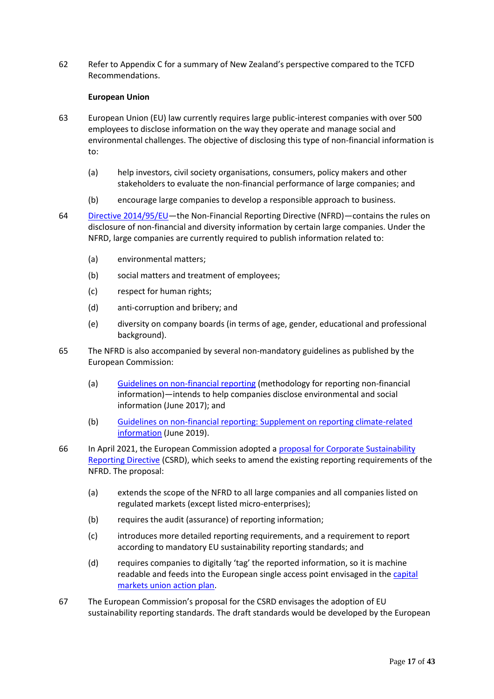62 Refer to Appendix C for a summary of New Zealand's perspective compared to the TCFD Recommendations.

### **European Union**

- 63 European Union (EU) law currently requires large public-interest companies with over 500 employees to disclose information on the way they operate and manage social and environmental challenges. The objective of disclosing this type of non-financial information is to:
	- (a) help investors, civil society organisations, consumers, policy makers and other stakeholders to evaluate the non-financial performance of large companies; and
	- (b) encourage large companies to develop a responsible approach to business.
- 64 [Directive 2014/95/EU](https://eur-lex.europa.eu/legal-content/EN/TXT/PDF/?uri=CELEX:32014L0095&from=EN)—the Non-Financial Reporting Directive (NFRD)—contains the rules on disclosure of non-financial and diversity information by certain large companies. Under the NFRD, large companies are currently required to publish information related to:
	- (a) environmental matters;
	- (b) social matters and treatment of employees;
	- (c) respect for human rights;
	- (d) anti-corruption and bribery; and
	- (e) diversity on company boards (in terms of age, gender, educational and professional background).
- 65 The NFRD is also accompanied by several non-mandatory guidelines as published by the European Commission:
	- (a) [Guidelines on non-financial reporting](https://eur-lex.europa.eu/legal-content/EN/TXT/?uri=CELEX:52017XC0705(01)) (methodology for reporting non-financial information)—intends to help companies disclose environmental and social information (June 2017); and
	- (b) [Guidelines on non-financial reporting: Supplement on reporting climate-related](https://eur-lex.europa.eu/legal-content/EN/TXT/?uri=CELEX:52019XC0620(01))  [information](https://eur-lex.europa.eu/legal-content/EN/TXT/?uri=CELEX:52019XC0620(01)) (June 2019).
- 66 In April 2021, the European Commission adopted a [proposal for Corporate Sustainability](https://eur-lex.europa.eu/legal-content/EN/TXT/PDF/?uri=CELEX:52021PC0189&from=EN)  [Reporting Directive](https://eur-lex.europa.eu/legal-content/EN/TXT/PDF/?uri=CELEX:52021PC0189&from=EN) (CSRD), which seeks to amend the existing reporting requirements of the NFRD. The proposal:
	- (a) extends the scope of the NFRD to all large companies and all companies listed on regulated markets (except listed micro-enterprises);
	- (b) requires the audit (assurance) of reporting information;
	- (c) introduces more detailed reporting requirements, and a requirement to report according to mandatory EU sustainability reporting standards; and
	- (d) requires companies to digitally 'tag' the reported information, so it is machine readable and feeds into the European single access point envisaged in the [capital](https://ec.europa.eu/info/business-economy-euro/growth-and-investment/capital-markets-union/capital-markets-union-2020-action-plan_en)  [markets union action plan.](https://ec.europa.eu/info/business-economy-euro/growth-and-investment/capital-markets-union/capital-markets-union-2020-action-plan_en)
- 67 The European Commission's proposal for the CSRD envisages the adoption of EU sustainability reporting standards. The draft standards would be developed by the European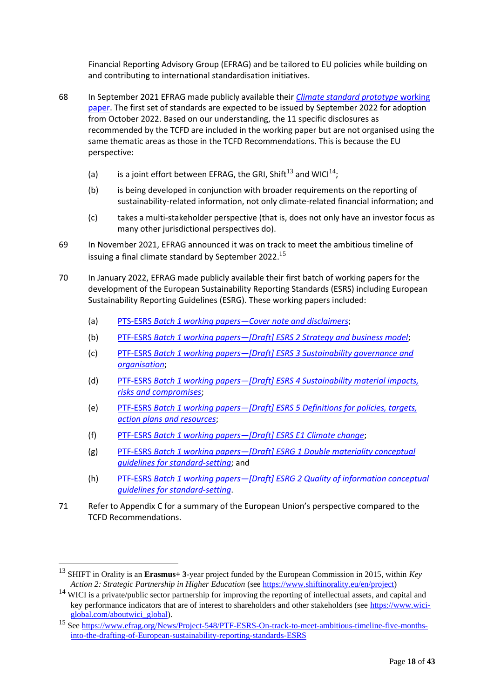Financial Reporting Advisory Group (EFRAG) and be tailored to EU policies while building on and contributing to international standardisation initiatives.

- 68 In September 2021 EFRAG made publicly available their *[Climate standard prototype](https://www.efrag.org/Assets/Download?assetUrl=%2Fsites%2Fwebpublishing%2FSiteAssets%2FEFRAG%2520PTF-ESRS%2520Climate%2520standard%2520prototype%2520working%2520paper.pdf)* working [paper.](https://www.efrag.org/Assets/Download?assetUrl=%2Fsites%2Fwebpublishing%2FSiteAssets%2FEFRAG%2520PTF-ESRS%2520Climate%2520standard%2520prototype%2520working%2520paper.pdf) The first set of standards are expected to be issued by September 2022 for adoption from October 2022. Based on our understanding, the 11 specific disclosures as recommended by the TCFD are included in the working paper but are not organised using the same thematic areas as those in the TCFD Recommendations. This is because the EU perspective:
	- (a) is a joint effort between EFRAG, the GRI, Shift<sup>13</sup> and WICI<sup>14</sup>;
	- (b) is being developed in conjunction with broader requirements on the reporting of sustainability-related information, not only climate-related financial information; and
	- (c) takes a multi-stakeholder perspective (that is, does not only have an investor focus as many other jurisdictional perspectives do).
- 69 In November 2021, EFRAG announced it was on track to meet the ambitious timeline of issuing a final climate standard by September 2022.<sup>15</sup>
- 70 In January 2022, EFRAG made publicly available their first batch of working papers for the development of the European Sustainability Reporting Standards (ESRS) including European Sustainability Reporting Guidelines (ESRG). These working papers included:
	- (a) PTS-ESRS *Batch 1 working papers—[Cover note and disclaimers](https://www.efrag.org/Assets/Download?assetUrl=/sites/webpublishing/SiteAssets/Cover%20note%20for%20Batch%201%20WPs.pdf)*;
	- (b) PTF-ESRS *Batch 1 working papers—[\[Draft\] ESRS 2 Strategy and business model](https://www.efrag.org/Assets/Download?assetUrl=/sites/webpublishing/SiteAssets/Appendix%202.1%20-%20WP%20on%20draft%20ESRS%202.pdf)*;
	- (c) PTF-ESRS *Batch 1 working papers—[\[Draft\] ESRS 3 Sustainability governance and](https://www.efrag.org/Assets/Download?assetUrl=/sites/webpublishing/SiteAssets/Appendix%202.2%20-%20WP%20on%20draft%20ESRS%203.pdf)  [organisation](https://www.efrag.org/Assets/Download?assetUrl=/sites/webpublishing/SiteAssets/Appendix%202.2%20-%20WP%20on%20draft%20ESRS%203.pdf)*;
	- (d) PTF-ESRS *Batch 1 working papers—[Draft] ESRS [4 Sustainability material impacts,](https://www.efrag.org/Assets/Download?assetUrl=/sites/webpublishing/SiteAssets/Appendix%202.3%20-%20WP%20on%20draft%20ESRS%204.pdf)  [risks and compromises](https://www.efrag.org/Assets/Download?assetUrl=/sites/webpublishing/SiteAssets/Appendix%202.3%20-%20WP%20on%20draft%20ESRS%204.pdf)*;
	- (e) PTF-ESRS *Batch 1 working papers—[Draft] ESRS [5 Definitions for policies, targets,](https://www.efrag.org/Assets/Download?assetUrl=/sites/webpublishing/SiteAssets/Appendix%202.4%20-%20WP%20on%20draft%20ESRS%205.pdf)  [action plans and resources](https://www.efrag.org/Assets/Download?assetUrl=/sites/webpublishing/SiteAssets/Appendix%202.4%20-%20WP%20on%20draft%20ESRS%205.pdf)*;
	- (f) PTF-ESRS *[Batch 1 working papers](https://www.efrag.org/Assets/Download?assetUrl=/sites/webpublishing/SiteAssets/Appendix%202.5%20-%20WP%20on%20draft%20ESRS%20E1.pdf)—[Draft] ESRS E1 Climate change*;
	- (g) PTF-ESRS *Batch 1 working papers—[\[Draft\] ESRG 1 Double materiality conceptual](https://www.efrag.org/Assets/Download?assetUrl=/sites/webpublishing/SiteAssets/Appendix%202.6%20-%20WP%20on%20draft%20ESRG%201.pdf)  [guidelines for standard-setting](https://www.efrag.org/Assets/Download?assetUrl=/sites/webpublishing/SiteAssets/Appendix%202.6%20-%20WP%20on%20draft%20ESRG%201.pdf)*; and
	- (h) PTF-ESRS *Batch 1 working papers—[Draft] [ESRG 2 Quality of information conceptual](https://www.efrag.org/Assets/Download?assetUrl=/sites/webpublishing/SiteAssets/Appendix%202.7%20-%20WP%20on%20draft%20ESRG%202.pdf)  [guidelines for standard-setting](https://www.efrag.org/Assets/Download?assetUrl=/sites/webpublishing/SiteAssets/Appendix%202.7%20-%20WP%20on%20draft%20ESRG%202.pdf)*.
- 71 Refer to Appendix C for a summary of the European Union's perspective compared to the TCFD Recommendations.

<sup>13</sup> SHIFT in Orality is an **Erasmus+ 3**-year project funded by the European Commission in 2015, within *Key Action 2: Strategic Partnership in Higher Education* (se[e https://www.shiftinorality.eu/en/project\)](https://www.shiftinorality.eu/en/project)

<sup>&</sup>lt;sup>14</sup> WICI is a private/public sector partnership for improving the reporting of intellectual assets, and capital and key performance indicators that are of interest to shareholders and other stakeholders (see [https://www.wici](https://www.wici-global.com/aboutwici_global)[global.com/aboutwici\\_global\)](https://www.wici-global.com/aboutwici_global).

<sup>&</sup>lt;sup>15</sup> Se[e https://www.efrag.org/News/Project-548/PTF-ESRS-On-track-to-meet-ambitious-timeline-five-months](https://www.efrag.org/News/Project-548/PTF-ESRS-On-track-to-meet-ambitious-timeline-five-months-into-the-drafting-of-European-sustainability-reporting-standards-ESRS)[into-the-drafting-of-European-sustainability-reporting-standards-ESRS](https://www.efrag.org/News/Project-548/PTF-ESRS-On-track-to-meet-ambitious-timeline-five-months-into-the-drafting-of-European-sustainability-reporting-standards-ESRS)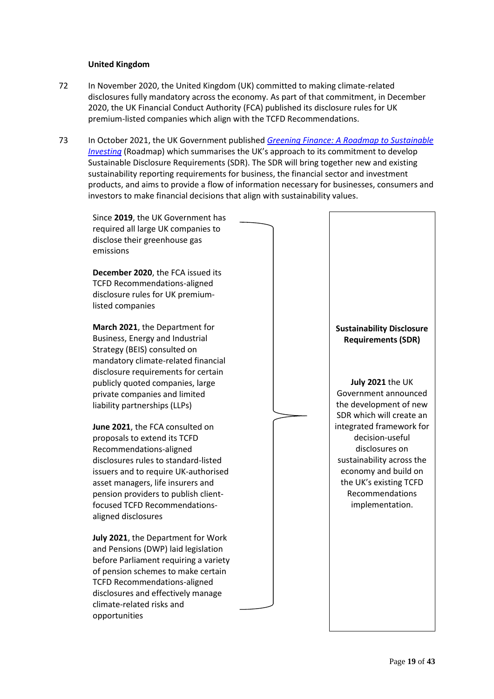#### **United Kingdom**

- 72 In November 2020, the United Kingdom (UK) committed to making climate-related disclosures fully mandatory across the economy. As part of that commitment, in December 2020, the UK Financial Conduct Authority (FCA) published its disclosure rules for UK premium-listed companies which align with the TCFD Recommendations.
- 73 In October 2021, the UK Government published *[Greening Finance: A Roadmap to Sustainable](https://assets.publishing.service.gov.uk/government/uploads/system/uploads/attachment_data/file/1026224/CCS0821102722-006_Green_Finance_Paper_2021_v5_Bookmarked_48PP.pdf)  [Investing](https://assets.publishing.service.gov.uk/government/uploads/system/uploads/attachment_data/file/1026224/CCS0821102722-006_Green_Finance_Paper_2021_v5_Bookmarked_48PP.pdf)* (Roadmap) which summarises the UK's approach to its commitment to develop Sustainable Disclosure Requirements (SDR). The SDR will bring together new and existing sustainability reporting requirements for business, the financial sector and investment products, and aims to provide a flow of information necessary for businesses, consumers and investors to make financial decisions that align with sustainability values.

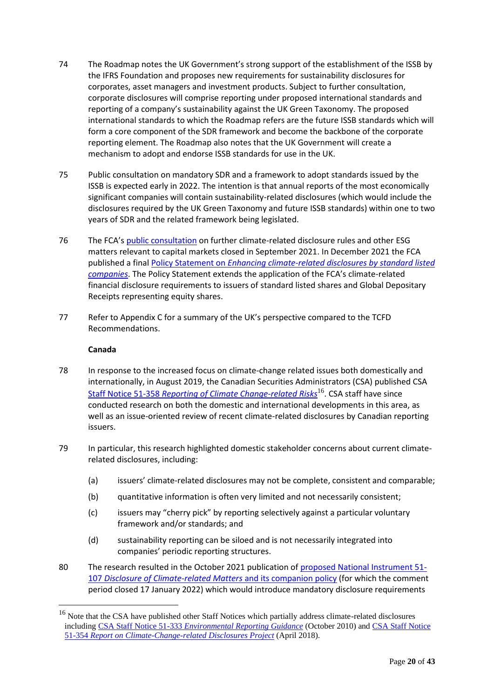- 74 The Roadmap notes the UK Government's strong support of the establishment of the ISSB by the IFRS Foundation and proposes new requirements for sustainability disclosures for corporates, asset managers and investment products. Subject to further consultation, corporate disclosures will comprise reporting under proposed international standards and reporting of a company's sustainability against the UK Green Taxonomy. The proposed international standards to which the Roadmap refers are the future ISSB standards which will form a core component of the SDR framework and become the backbone of the corporate reporting element. The Roadmap also notes that the UK Government will create a mechanism to adopt and endorse ISSB standards for use in the UK.
- 75 Public consultation on mandatory SDR and a framework to adopt standards issued by the ISSB is expected early in 2022. The intention is that annual reports of the most economically significant companies will contain sustainability-related disclosures (which would include the disclosures required by the UK Green Taxonomy and future ISSB standards) within one to two years of SDR and the related framework being legislated.
- 76 The FCA's [public consultation](https://www.fca.org.uk/news/press-releases/fca-consults-further-climate-related-disclosure-rules) on further climate-related disclosure rules and other ESG matters relevant to capital markets closed in September 2021. In December 2021 the FCA published a final Policy Statement on *[Enhancing climate-related disclosures by standard](https://www.fca.org.uk/publication/policy/ps21-23.pdf) listed [companies](https://www.fca.org.uk/publication/policy/ps21-23.pdf)*. The Policy Statement extends the application of the FCA's climate-related financial disclosure requirements to issuers of standard listed shares and Global Depositary Receipts representing equity shares.
- 77 Refer to Appendix C for a summary of the UK's perspective compared to the TCFD Recommendations.

#### **Canada**

- 78 In response to the increased focus on climate-change related issues both domestically and internationally, in August 2019, the Canadian Securities Administrators (CSA) published CSA Staff Notice 51-358 *[Reporting of Climate Change-related Risks](https://www.osc.ca/sites/default/files/pdfs/irps/csa_20190801_51-358_reporting-of-climate-change-related-risks.pdf)*16. CSA staff have since conducted research on both the domestic and international developments in this area, as well as an issue-oriented review of recent climate-related disclosures by Canadian reporting issuers.
- 79 In particular, this research highlighted domestic stakeholder concerns about current climaterelated disclosures, including:
	- (a) issuers' climate-related disclosures may not be complete, consistent and comparable;
	- (b) quantitative information is often very limited and not necessarily consistent;
	- (c) issuers may "cherry pick" by reporting selectively against a particular voluntary framework and/or standards; and
	- (d) sustainability reporting can be siloed and is not necessarily integrated into companies' periodic reporting structures.
- 80 The research resulted in the October 2021 publication of [proposed National Instrument 51-](https://www.osc.ca/sites/default/files/2021-10/csa_20211018_51-107_disclosure-update.pdf) 107 *[Disclosure of Climate-related Matters](https://www.osc.ca/sites/default/files/2021-10/csa_20211018_51-107_disclosure-update.pdf)* and its companion policy (for which the comment period closed 17 January 2022) which would introduce mandatory disclosure requirements

<sup>&</sup>lt;sup>16</sup> Note that the CSA have published other Staff Notices which partially address climate-related disclosures including CSA Staff Notice 51-333 *[Environmental Reporting Guidance](https://www.osc.ca/sites/default/files/pdfs/irps/csa_20101027_51-333_environmental-reporting.pdf)* (October 2010) and [CSA Staff Notice](https://www.osc.ca/sites/default/files/pdfs/irps/csa_20180405_climate-change-related-disclosure-project.pdf)  51-354 *[Report on Climate-Change-related Disclosures Project](https://www.osc.ca/sites/default/files/pdfs/irps/csa_20180405_climate-change-related-disclosure-project.pdf)* (April 2018).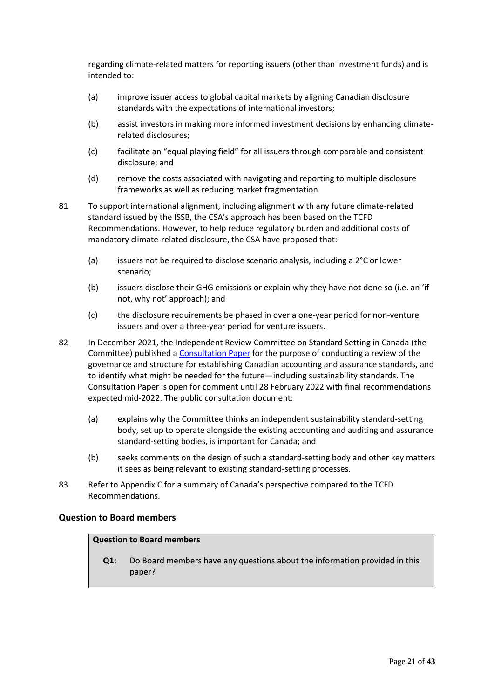regarding climate-related matters for reporting issuers (other than investment funds) and is intended to:

- (a) improve issuer access to global capital markets by aligning Canadian disclosure standards with the expectations of international investors;
- (b) assist investors in making more informed investment decisions by enhancing climaterelated disclosures;
- (c) facilitate an "equal playing field" for all issuers through comparable and consistent disclosure; and
- (d) remove the costs associated with navigating and reporting to multiple disclosure frameworks as well as reducing market fragmentation.
- 81 To support international alignment, including alignment with any future climate-related standard issued by the ISSB, the CSA's approach has been based on the TCFD Recommendations. However, to help reduce regulatory burden and additional costs of mandatory climate-related disclosure, the CSA have proposed that:
	- (a) issuers not be required to disclose scenario analysis, including a 2°C or lower scenario;
	- (b) issuers disclose their GHG emissions or explain why they have not done so (i.e. an 'if not, why not' approach); and
	- (c) the disclosure requirements be phased in over a one-year period for non-venture issuers and over a three-year period for venture issuers.
- 82 In December 2021, the Independent Review Committee on Standard Setting in Canada (the Committee) published a [Consultation Paper](file://///mel_1/AASB_Profiles/shammond/Downloads/IRCSS-CONSULTATION-PAPER.pdf) for the purpose of conducting a review of the governance and structure for establishing Canadian accounting and assurance standards, and to identify what might be needed for the future—including sustainability standards. The Consultation Paper is open for comment until 28 February 2022 with final recommendations expected mid-2022. The public consultation document:
	- (a) explains why the Committee thinks an independent sustainability standard-setting body, set up to operate alongside the existing accounting and auditing and assurance standard-setting bodies, is important for Canada; and
	- (b) seeks comments on the design of such a standard-setting body and other key matters it sees as being relevant to existing standard-setting processes.
- 83 Refer to Appendix C for a summary of Canada's perspective compared to the TCFD Recommendations.

#### **Question to Board members**

#### **Question to Board members**

**Q1:** Do Board members have any questions about the information provided in this paper?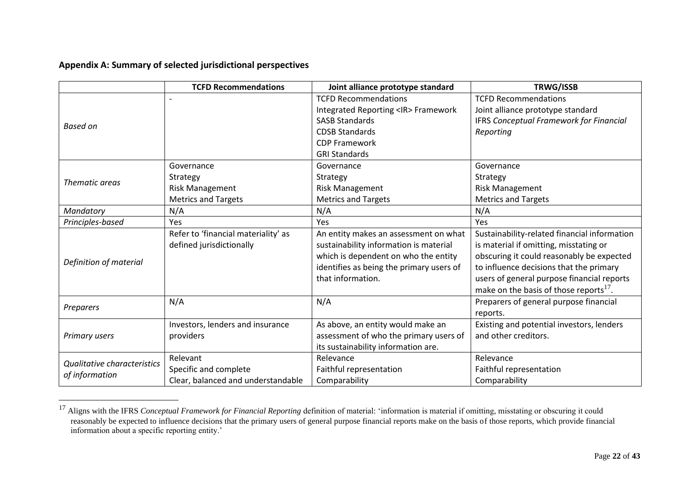# **Appendix A: Summary of selected jurisdictional perspectives**

|                                    | <b>TCFD Recommendations</b>         | Joint alliance prototype standard        | TRWG/ISSB                                    |
|------------------------------------|-------------------------------------|------------------------------------------|----------------------------------------------|
|                                    |                                     | <b>TCFD Recommendations</b>              | <b>TCFD Recommendations</b>                  |
|                                    |                                     | Integrated Reporting <ir>Framework</ir>  | Joint alliance prototype standard            |
| Based on                           |                                     | <b>SASB Standards</b>                    | IFRS Conceptual Framework for Financial      |
|                                    |                                     | <b>CDSB Standards</b>                    | Reporting                                    |
|                                    |                                     | <b>CDP Framework</b>                     |                                              |
|                                    |                                     | <b>GRI Standards</b>                     |                                              |
|                                    | Governance                          | Governance                               | Governance                                   |
| Thematic areas                     | Strategy                            | Strategy                                 | Strategy                                     |
|                                    | <b>Risk Management</b>              | <b>Risk Management</b>                   | <b>Risk Management</b>                       |
|                                    | <b>Metrics and Targets</b>          | <b>Metrics and Targets</b>               | <b>Metrics and Targets</b>                   |
| Mandatory                          | N/A                                 | N/A                                      | N/A                                          |
| Principles-based                   | Yes                                 | Yes                                      | Yes                                          |
|                                    | Refer to 'financial materiality' as | An entity makes an assessment on what    | Sustainability-related financial information |
|                                    | defined jurisdictionally            | sustainability information is material   | is material if omitting, misstating or       |
| Definition of material             |                                     | which is dependent on who the entity     | obscuring it could reasonably be expected    |
|                                    |                                     | identifies as being the primary users of | to influence decisions that the primary      |
|                                    |                                     | that information.                        | users of general purpose financial reports   |
|                                    |                                     |                                          | make on the basis of those reports $^{17}$ . |
| Preparers                          | N/A                                 | N/A                                      | Preparers of general purpose financial       |
|                                    |                                     |                                          | reports.                                     |
|                                    | Investors, lenders and insurance    | As above, an entity would make an        | Existing and potential investors, lenders    |
| <b>Primary users</b>               | providers                           | assessment of who the primary users of   | and other creditors.                         |
|                                    |                                     | its sustainability information are.      |                                              |
| <b>Qualitative characteristics</b> | Relevant                            | Relevance                                | Relevance                                    |
|                                    | Specific and complete               | Faithful representation                  | Faithful representation                      |
| of information                     | Clear, balanced and understandable  | Comparability                            | Comparability                                |

<sup>&</sup>lt;sup>17</sup> Aligns with the IFRS *Conceptual Framework for Financial Reporting* definition of material: 'information is material if omitting, misstating or obscuring it could reasonably be expected to influence decisions that the primary users of general purpose financial reports make on the basis of those reports, which provide financial information about a specific reporting entity.'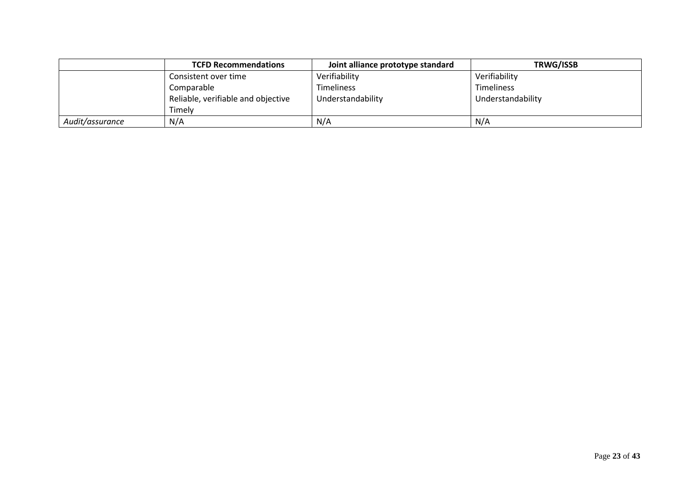|                 | <b>TCFD Recommendations</b>        | Joint alliance prototype standard | <b>TRWG/ISSB</b>  |
|-----------------|------------------------------------|-----------------------------------|-------------------|
|                 | Consistent over time               | Verifiability                     | Verifiability     |
|                 | Comparable                         | Timeliness                        | <b>Timeliness</b> |
|                 | Reliable, verifiable and objective | Understandability                 | Understandability |
|                 | Timelv                             |                                   |                   |
| Audit/assurance | N/A                                | N/A                               | N/A               |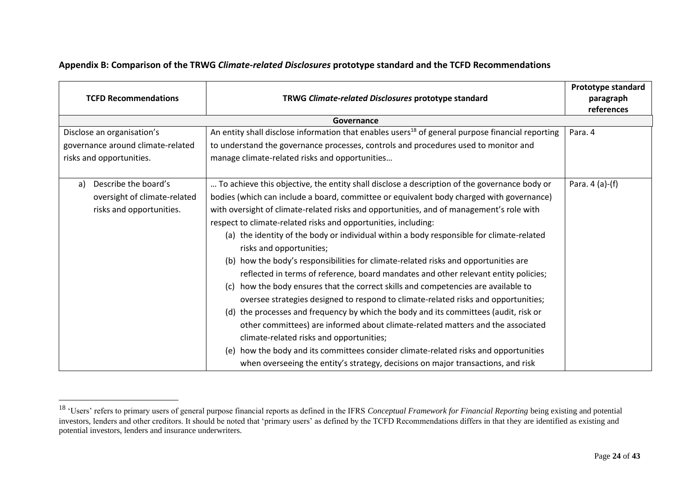| <b>TCFD Recommendations</b>       | TRWG Climate-related Disclosures prototype standard                                                                         | Prototype standard<br>paragraph<br>references |
|-----------------------------------|-----------------------------------------------------------------------------------------------------------------------------|-----------------------------------------------|
|                                   | Governance                                                                                                                  |                                               |
| Disclose an organisation's        | An entity shall disclose information that enables users <sup>18</sup> of general purpose financial reporting                | Para. 4                                       |
| governance around climate-related | to understand the governance processes, controls and procedures used to monitor and                                         |                                               |
| risks and opportunities.          | manage climate-related risks and opportunities                                                                              |                                               |
| Describe the board's<br>a)        | To achieve this objective, the entity shall disclose a description of the governance body or                                | Para. 4 (a)-(f)                               |
| oversight of climate-related      | bodies (which can include a board, committee or equivalent body charged with governance)                                    |                                               |
| risks and opportunities.          | with oversight of climate-related risks and opportunities, and of management's role with                                    |                                               |
|                                   | respect to climate-related risks and opportunities, including:                                                              |                                               |
|                                   | (a) the identity of the body or individual within a body responsible for climate-related<br>risks and opportunities;        |                                               |
|                                   | (b) how the body's responsibilities for climate-related risks and opportunities are                                         |                                               |
|                                   | reflected in terms of reference, board mandates and other relevant entity policies;                                         |                                               |
|                                   | how the body ensures that the correct skills and competencies are available to<br>(c)                                       |                                               |
|                                   | oversee strategies designed to respond to climate-related risks and opportunities;                                          |                                               |
|                                   | (d) the processes and frequency by which the body and its committees (audit, risk or                                        |                                               |
|                                   | other committees) are informed about climate-related matters and the associated<br>climate-related risks and opportunities; |                                               |
|                                   | (e) how the body and its committees consider climate-related risks and opportunities                                        |                                               |
|                                   | when overseeing the entity's strategy, decisions on major transactions, and risk                                            |                                               |

# **Appendix B: Comparison of the TRWG** *Climate-related Disclosures* **prototype standard and the TCFD Recommendations**

<sup>18</sup> 'Users' refers to primary users of general purpose financial reports as defined in the IFRS *Conceptual Framework for Financial Reporting* being existing and potential investors, lenders and other creditors. It should be noted that 'primary users' as defined by the TCFD Recommendations differs in that they are identified as existing and potential investors, lenders and insurance underwriters.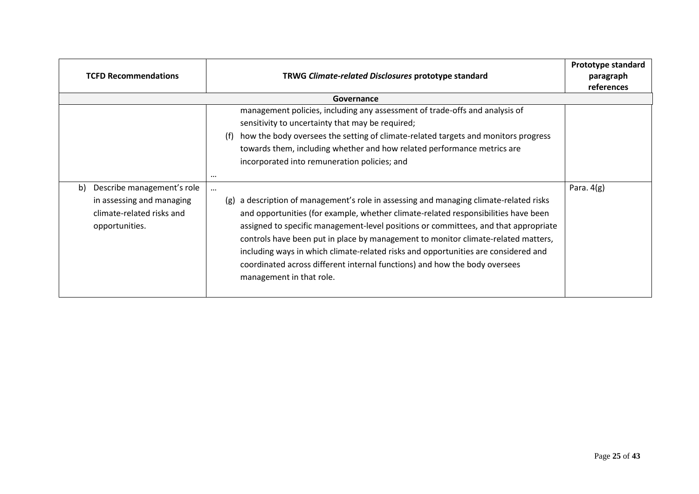| <b>TCFD Recommendations</b>                                                                                  | TRWG Climate-related Disclosures prototype standard                                                                                                                                                                                                                                                                                                                                                                                                                                                                                                                     | Prototype standard<br>paragraph<br>references |
|--------------------------------------------------------------------------------------------------------------|-------------------------------------------------------------------------------------------------------------------------------------------------------------------------------------------------------------------------------------------------------------------------------------------------------------------------------------------------------------------------------------------------------------------------------------------------------------------------------------------------------------------------------------------------------------------------|-----------------------------------------------|
|                                                                                                              | Governance                                                                                                                                                                                                                                                                                                                                                                                                                                                                                                                                                              |                                               |
|                                                                                                              | management policies, including any assessment of trade-offs and analysis of<br>sensitivity to uncertainty that may be required;<br>how the body oversees the setting of climate-related targets and monitors progress<br>(f)<br>towards them, including whether and how related performance metrics are<br>incorporated into remuneration policies; and<br>$\cdots$                                                                                                                                                                                                     |                                               |
| Describe management's role<br>b)<br>in assessing and managing<br>climate-related risks and<br>opportunities. | $\cdots$<br>a description of management's role in assessing and managing climate-related risks<br>(g)<br>and opportunities (for example, whether climate-related responsibilities have been<br>assigned to specific management-level positions or committees, and that appropriate<br>controls have been put in place by management to monitor climate-related matters,<br>including ways in which climate-related risks and opportunities are considered and<br>coordinated across different internal functions) and how the body oversees<br>management in that role. | Para. $4(g)$                                  |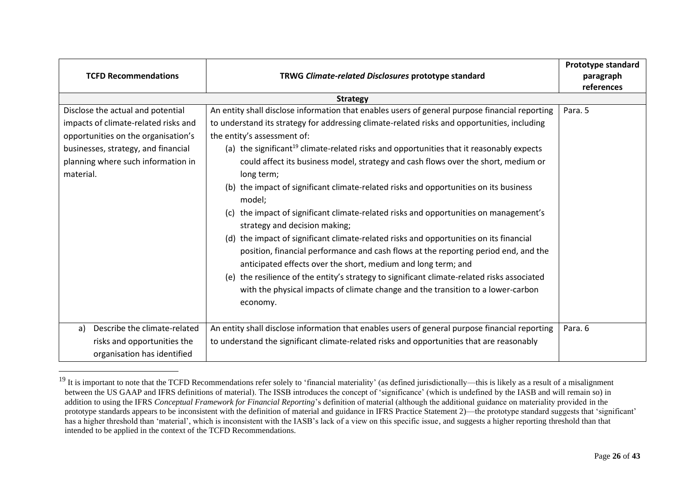| <b>TCFD Recommendations</b>                                                                                                                                                                                | TRWG Climate-related Disclosures prototype standard                                                                                                                                                                                                                                                                                                                                                                                                                                                                                                                                                                                                                                                                                                                                                                                                                                                                                                                                                                     | Prototype standard<br>paragraph<br>references |
|------------------------------------------------------------------------------------------------------------------------------------------------------------------------------------------------------------|-------------------------------------------------------------------------------------------------------------------------------------------------------------------------------------------------------------------------------------------------------------------------------------------------------------------------------------------------------------------------------------------------------------------------------------------------------------------------------------------------------------------------------------------------------------------------------------------------------------------------------------------------------------------------------------------------------------------------------------------------------------------------------------------------------------------------------------------------------------------------------------------------------------------------------------------------------------------------------------------------------------------------|-----------------------------------------------|
|                                                                                                                                                                                                            | <b>Strategy</b>                                                                                                                                                                                                                                                                                                                                                                                                                                                                                                                                                                                                                                                                                                                                                                                                                                                                                                                                                                                                         |                                               |
| Disclose the actual and potential<br>impacts of climate-related risks and<br>opportunities on the organisation's<br>businesses, strategy, and financial<br>planning where such information in<br>material. | An entity shall disclose information that enables users of general purpose financial reporting<br>to understand its strategy for addressing climate-related risks and opportunities, including<br>the entity's assessment of:<br>(a) the significant <sup>19</sup> climate-related risks and opportunities that it reasonably expects<br>could affect its business model, strategy and cash flows over the short, medium or<br>long term;<br>(b) the impact of significant climate-related risks and opportunities on its business<br>model;<br>(c) the impact of significant climate-related risks and opportunities on management's<br>strategy and decision making;<br>(d) the impact of significant climate-related risks and opportunities on its financial<br>position, financial performance and cash flows at the reporting period end, and the<br>anticipated effects over the short, medium and long term; and<br>(e) the resilience of the entity's strategy to significant climate-related risks associated | Para. 5                                       |
| Describe the climate-related<br>a)<br>risks and opportunities the<br>organisation has identified                                                                                                           | with the physical impacts of climate change and the transition to a lower-carbon<br>economy.<br>An entity shall disclose information that enables users of general purpose financial reporting<br>to understand the significant climate-related risks and opportunities that are reasonably                                                                                                                                                                                                                                                                                                                                                                                                                                                                                                                                                                                                                                                                                                                             | Para. 6                                       |

<sup>&</sup>lt;sup>19</sup> It is important to note that the TCFD Recommendations refer solely to 'financial materiality' (as defined jurisdictionally—this is likely as a result of a misalignment between the US GAAP and IFRS definitions of material). The ISSB introduces the concept of 'significance' (which is undefined by the IASB and will remain so) in addition to using the IFRS *Conceptual Framework for Financial Reporting*'s definition of material (although the additional guidance on materiality provided in the prototype standards appears to be inconsistent with the definition of material and guidance in IFRS Practice Statement 2)—the prototype standard suggests that 'significant' has a higher threshold than 'material', which is inconsistent with the IASB's lack of a view on this specific issue, and suggests a higher reporting threshold than that intended to be applied in the context of the TCFD Recommendations.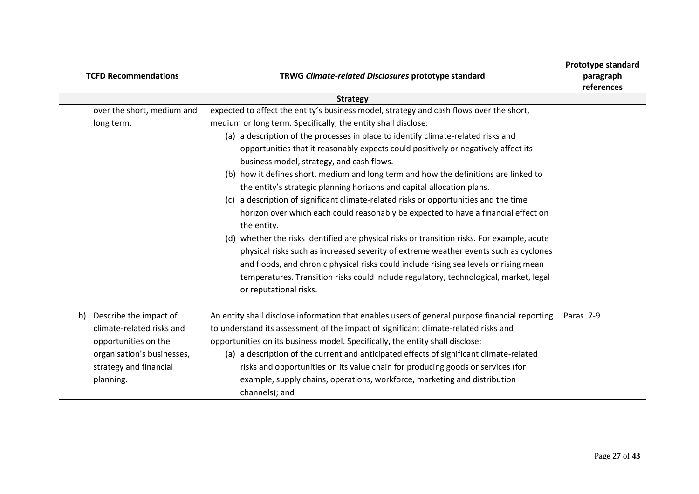|    | <b>TCFD Recommendations</b> | TRWG Climate-related Disclosures prototype standard                                            | Prototype standard<br>paragraph<br>references |
|----|-----------------------------|------------------------------------------------------------------------------------------------|-----------------------------------------------|
|    |                             | <b>Strategy</b>                                                                                |                                               |
|    | over the short, medium and  | expected to affect the entity's business model, strategy and cash flows over the short,        |                                               |
|    | long term.                  | medium or long term. Specifically, the entity shall disclose:                                  |                                               |
|    |                             | (a) a description of the processes in place to identify climate-related risks and              |                                               |
|    |                             | opportunities that it reasonably expects could positively or negatively affect its             |                                               |
|    |                             | business model, strategy, and cash flows.                                                      |                                               |
|    |                             | (b) how it defines short, medium and long term and how the definitions are linked to           |                                               |
|    |                             | the entity's strategic planning horizons and capital allocation plans.                         |                                               |
|    |                             | a description of significant climate-related risks or opportunities and the time<br>(c)        |                                               |
|    |                             | horizon over which each could reasonably be expected to have a financial effect on             |                                               |
|    |                             | the entity.                                                                                    |                                               |
|    |                             | (d) whether the risks identified are physical risks or transition risks. For example, acute    |                                               |
|    |                             | physical risks such as increased severity of extreme weather events such as cyclones           |                                               |
|    |                             | and floods, and chronic physical risks could include rising sea levels or rising mean          |                                               |
|    |                             | temperatures. Transition risks could include regulatory, technological, market, legal          |                                               |
|    |                             | or reputational risks.                                                                         |                                               |
|    |                             |                                                                                                |                                               |
| b) | Describe the impact of      | An entity shall disclose information that enables users of general purpose financial reporting | Paras. 7-9                                    |
|    | climate-related risks and   | to understand its assessment of the impact of significant climate-related risks and            |                                               |
|    | opportunities on the        | opportunities on its business model. Specifically, the entity shall disclose:                  |                                               |
|    | organisation's businesses,  | (a) a description of the current and anticipated effects of significant climate-related        |                                               |
|    | strategy and financial      | risks and opportunities on its value chain for producing goods or services (for                |                                               |
|    | planning.                   | example, supply chains, operations, workforce, marketing and distribution                      |                                               |
|    |                             | channels); and                                                                                 |                                               |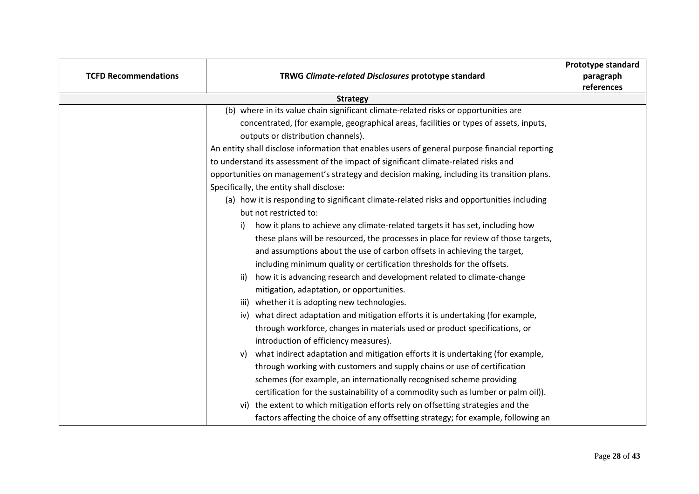| <b>TCFD Recommendations</b> | TRWG Climate-related Disclosures prototype standard                                            | <b>Prototype standard</b><br>paragraph<br>references |
|-----------------------------|------------------------------------------------------------------------------------------------|------------------------------------------------------|
|                             | <b>Strategy</b>                                                                                |                                                      |
|                             | (b) where in its value chain significant climate-related risks or opportunities are            |                                                      |
|                             | concentrated, (for example, geographical areas, facilities or types of assets, inputs,         |                                                      |
|                             | outputs or distribution channels).                                                             |                                                      |
|                             | An entity shall disclose information that enables users of general purpose financial reporting |                                                      |
|                             | to understand its assessment of the impact of significant climate-related risks and            |                                                      |
|                             | opportunities on management's strategy and decision making, including its transition plans.    |                                                      |
|                             | Specifically, the entity shall disclose:                                                       |                                                      |
|                             | (a) how it is responding to significant climate-related risks and opportunities including      |                                                      |
|                             | but not restricted to:                                                                         |                                                      |
|                             | how it plans to achieve any climate-related targets it has set, including how<br>i)            |                                                      |
|                             | these plans will be resourced, the processes in place for review of those targets,             |                                                      |
|                             | and assumptions about the use of carbon offsets in achieving the target,                       |                                                      |
|                             | including minimum quality or certification thresholds for the offsets.                         |                                                      |
|                             | how it is advancing research and development related to climate-change<br>ii)                  |                                                      |
|                             | mitigation, adaptation, or opportunities.                                                      |                                                      |
|                             | iii) whether it is adopting new technologies.                                                  |                                                      |
|                             | iv) what direct adaptation and mitigation efforts it is undertaking (for example,              |                                                      |
|                             | through workforce, changes in materials used or product specifications, or                     |                                                      |
|                             | introduction of efficiency measures).                                                          |                                                      |
|                             | what indirect adaptation and mitigation efforts it is undertaking (for example,<br>v)          |                                                      |
|                             | through working with customers and supply chains or use of certification                       |                                                      |
|                             | schemes (for example, an internationally recognised scheme providing                           |                                                      |
|                             | certification for the sustainability of a commodity such as lumber or palm oil)).              |                                                      |
|                             | the extent to which mitigation efforts rely on offsetting strategies and the<br>vi)            |                                                      |
|                             | factors affecting the choice of any offsetting strategy; for example, following an             |                                                      |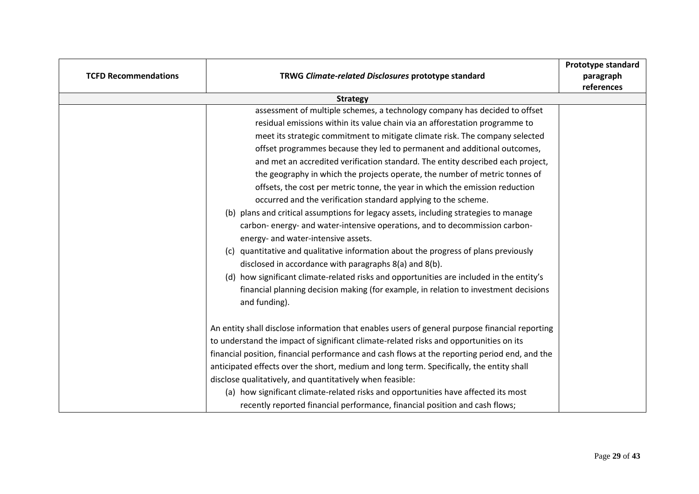| <b>TCFD Recommendations</b> | TRWG Climate-related Disclosures prototype standard                                            | Prototype standard<br>paragraph |
|-----------------------------|------------------------------------------------------------------------------------------------|---------------------------------|
|                             |                                                                                                | references                      |
|                             | <b>Strategy</b>                                                                                |                                 |
|                             | assessment of multiple schemes, a technology company has decided to offset                     |                                 |
|                             | residual emissions within its value chain via an afforestation programme to                    |                                 |
|                             | meet its strategic commitment to mitigate climate risk. The company selected                   |                                 |
|                             | offset programmes because they led to permanent and additional outcomes,                       |                                 |
|                             | and met an accredited verification standard. The entity described each project,                |                                 |
|                             | the geography in which the projects operate, the number of metric tonnes of                    |                                 |
|                             | offsets, the cost per metric tonne, the year in which the emission reduction                   |                                 |
|                             | occurred and the verification standard applying to the scheme.                                 |                                 |
|                             | (b) plans and critical assumptions for legacy assets, including strategies to manage           |                                 |
|                             | carbon-energy- and water-intensive operations, and to decommission carbon-                     |                                 |
|                             | energy- and water-intensive assets.                                                            |                                 |
|                             | (c) quantitative and qualitative information about the progress of plans previously            |                                 |
|                             | disclosed in accordance with paragraphs 8(a) and 8(b).                                         |                                 |
|                             | (d) how significant climate-related risks and opportunities are included in the entity's       |                                 |
|                             | financial planning decision making (for example, in relation to investment decisions           |                                 |
|                             | and funding).                                                                                  |                                 |
|                             |                                                                                                |                                 |
|                             | An entity shall disclose information that enables users of general purpose financial reporting |                                 |
|                             | to understand the impact of significant climate-related risks and opportunities on its         |                                 |
|                             | financial position, financial performance and cash flows at the reporting period end, and the  |                                 |
|                             | anticipated effects over the short, medium and long term. Specifically, the entity shall       |                                 |
|                             | disclose qualitatively, and quantitatively when feasible:                                      |                                 |
|                             | (a) how significant climate-related risks and opportunities have affected its most             |                                 |
|                             | recently reported financial performance, financial position and cash flows;                    |                                 |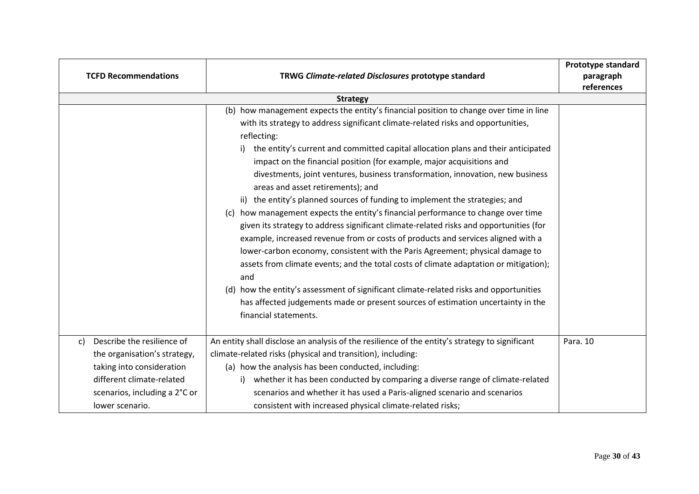|    | <b>TCFD Recommendations</b>                            | TRWG Climate-related Disclosures prototype standard                                                                                                                                                                                                                                                                                                                                                                                                                                                                                                                                                                                                                                                                                                                                                                                                                                                                                                                                                                                                                                                                                                                                                                               | Prototype standard<br>paragraph<br>references |
|----|--------------------------------------------------------|-----------------------------------------------------------------------------------------------------------------------------------------------------------------------------------------------------------------------------------------------------------------------------------------------------------------------------------------------------------------------------------------------------------------------------------------------------------------------------------------------------------------------------------------------------------------------------------------------------------------------------------------------------------------------------------------------------------------------------------------------------------------------------------------------------------------------------------------------------------------------------------------------------------------------------------------------------------------------------------------------------------------------------------------------------------------------------------------------------------------------------------------------------------------------------------------------------------------------------------|-----------------------------------------------|
|    |                                                        | <b>Strategy</b>                                                                                                                                                                                                                                                                                                                                                                                                                                                                                                                                                                                                                                                                                                                                                                                                                                                                                                                                                                                                                                                                                                                                                                                                                   |                                               |
|    |                                                        | (b) how management expects the entity's financial position to change over time in line<br>with its strategy to address significant climate-related risks and opportunities,<br>reflecting:<br>the entity's current and committed capital allocation plans and their anticipated<br>i).<br>impact on the financial position (for example, major acquisitions and<br>divestments, joint ventures, business transformation, innovation, new business<br>areas and asset retirements); and<br>ii) the entity's planned sources of funding to implement the strategies; and<br>(c) how management expects the entity's financial performance to change over time<br>given its strategy to address significant climate-related risks and opportunities (for<br>example, increased revenue from or costs of products and services aligned with a<br>lower-carbon economy, consistent with the Paris Agreement; physical damage to<br>assets from climate events; and the total costs of climate adaptation or mitigation);<br>and<br>(d) how the entity's assessment of significant climate-related risks and opportunities<br>has affected judgements made or present sources of estimation uncertainty in the<br>financial statements. |                                               |
| c) | Describe the resilience of                             | An entity shall disclose an analysis of the resilience of the entity's strategy to significant<br>climate-related risks (physical and transition), including:                                                                                                                                                                                                                                                                                                                                                                                                                                                                                                                                                                                                                                                                                                                                                                                                                                                                                                                                                                                                                                                                     | Para. 10                                      |
|    | the organisation's strategy,                           |                                                                                                                                                                                                                                                                                                                                                                                                                                                                                                                                                                                                                                                                                                                                                                                                                                                                                                                                                                                                                                                                                                                                                                                                                                   |                                               |
|    | taking into consideration<br>different climate-related | (a) how the analysis has been conducted, including:                                                                                                                                                                                                                                                                                                                                                                                                                                                                                                                                                                                                                                                                                                                                                                                                                                                                                                                                                                                                                                                                                                                                                                               |                                               |
|    | scenarios, including a 2°C or                          | whether it has been conducted by comparing a diverse range of climate-related<br>i)<br>scenarios and whether it has used a Paris-aligned scenario and scenarios                                                                                                                                                                                                                                                                                                                                                                                                                                                                                                                                                                                                                                                                                                                                                                                                                                                                                                                                                                                                                                                                   |                                               |
|    | lower scenario.                                        | consistent with increased physical climate-related risks;                                                                                                                                                                                                                                                                                                                                                                                                                                                                                                                                                                                                                                                                                                                                                                                                                                                                                                                                                                                                                                                                                                                                                                         |                                               |
|    |                                                        |                                                                                                                                                                                                                                                                                                                                                                                                                                                                                                                                                                                                                                                                                                                                                                                                                                                                                                                                                                                                                                                                                                                                                                                                                                   |                                               |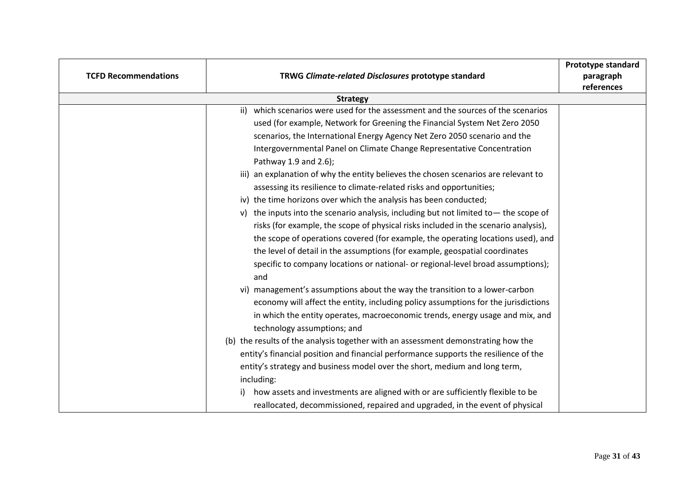| <b>TCFD Recommendations</b> | TRWG Climate-related Disclosures prototype standard                                     | Prototype standard<br>paragraph<br>references |  |
|-----------------------------|-----------------------------------------------------------------------------------------|-----------------------------------------------|--|
|                             | <b>Strategy</b>                                                                         |                                               |  |
|                             | which scenarios were used for the assessment and the sources of the scenarios<br>ii)    |                                               |  |
|                             | used (for example, Network for Greening the Financial System Net Zero 2050              |                                               |  |
|                             | scenarios, the International Energy Agency Net Zero 2050 scenario and the               |                                               |  |
|                             | Intergovernmental Panel on Climate Change Representative Concentration                  |                                               |  |
|                             | Pathway 1.9 and 2.6);                                                                   |                                               |  |
|                             | iii) an explanation of why the entity believes the chosen scenarios are relevant to     |                                               |  |
|                             | assessing its resilience to climate-related risks and opportunities;                    |                                               |  |
|                             | iv) the time horizons over which the analysis has been conducted;                       |                                               |  |
|                             | v) the inputs into the scenario analysis, including but not limited to - the scope of   |                                               |  |
|                             | risks (for example, the scope of physical risks included in the scenario analysis),     |                                               |  |
|                             | the scope of operations covered (for example, the operating locations used), and        |                                               |  |
|                             | the level of detail in the assumptions (for example, geospatial coordinates             |                                               |  |
|                             | specific to company locations or national- or regional-level broad assumptions);<br>and |                                               |  |
|                             | management's assumptions about the way the transition to a lower-carbon<br>vi)          |                                               |  |
|                             | economy will affect the entity, including policy assumptions for the jurisdictions      |                                               |  |
|                             | in which the entity operates, macroeconomic trends, energy usage and mix, and           |                                               |  |
|                             | technology assumptions; and                                                             |                                               |  |
|                             | (b) the results of the analysis together with an assessment demonstrating how the       |                                               |  |
|                             | entity's financial position and financial performance supports the resilience of the    |                                               |  |
|                             | entity's strategy and business model over the short, medium and long term,              |                                               |  |
|                             | including:                                                                              |                                               |  |
|                             | how assets and investments are aligned with or are sufficiently flexible to be<br>i)    |                                               |  |
|                             | reallocated, decommissioned, repaired and upgraded, in the event of physical            |                                               |  |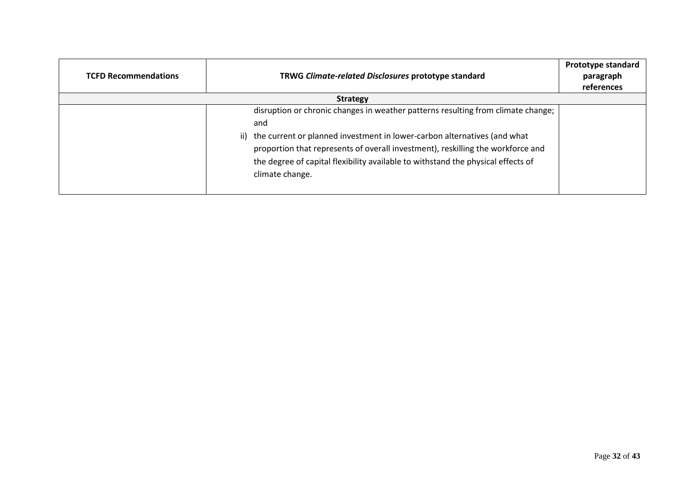| <b>TCFD Recommendations</b> | TRWG Climate-related Disclosures prototype standard                                                                                                                                                                                                                                                                                                               |  |  |  |
|-----------------------------|-------------------------------------------------------------------------------------------------------------------------------------------------------------------------------------------------------------------------------------------------------------------------------------------------------------------------------------------------------------------|--|--|--|
|                             | <b>Strategy</b>                                                                                                                                                                                                                                                                                                                                                   |  |  |  |
|                             | disruption or chronic changes in weather patterns resulting from climate change;<br>and<br>ii) the current or planned investment in lower-carbon alternatives (and what<br>proportion that represents of overall investment), reskilling the workforce and<br>the degree of capital flexibility available to withstand the physical effects of<br>climate change. |  |  |  |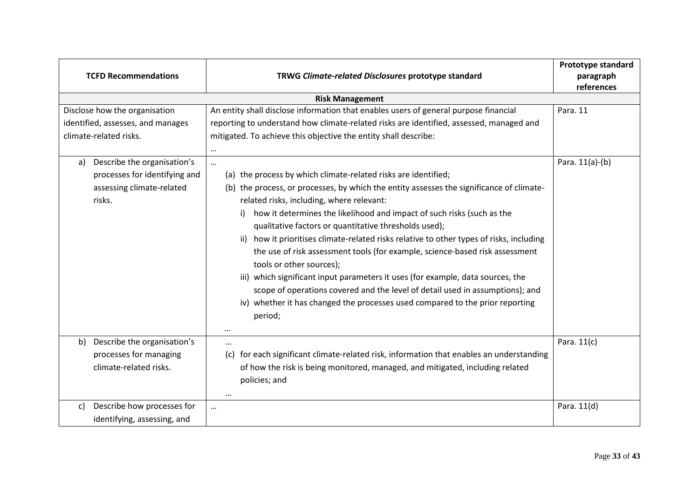| <b>TCFD Recommendations</b><br>TRWG Climate-related Disclosures prototype standard                        |                                                                                                                                                                                                                                                                                                                                                                                                                                                                                                                                                                                                                                                                                                                                                                                                                                                      |                 |  |  |  |
|-----------------------------------------------------------------------------------------------------------|------------------------------------------------------------------------------------------------------------------------------------------------------------------------------------------------------------------------------------------------------------------------------------------------------------------------------------------------------------------------------------------------------------------------------------------------------------------------------------------------------------------------------------------------------------------------------------------------------------------------------------------------------------------------------------------------------------------------------------------------------------------------------------------------------------------------------------------------------|-----------------|--|--|--|
|                                                                                                           | <b>Risk Management</b>                                                                                                                                                                                                                                                                                                                                                                                                                                                                                                                                                                                                                                                                                                                                                                                                                               |                 |  |  |  |
| Disclose how the organisation<br>identified, assesses, and manages<br>climate-related risks.              | An entity shall disclose information that enables users of general purpose financial<br>reporting to understand how climate-related risks are identified, assessed, managed and<br>mitigated. To achieve this objective the entity shall describe:                                                                                                                                                                                                                                                                                                                                                                                                                                                                                                                                                                                                   | Para. 11        |  |  |  |
| Describe the organisation's<br>a)<br>processes for identifying and<br>assessing climate-related<br>risks. | $\cdots$<br><br>(a) the process by which climate-related risks are identified;<br>(b) the process, or processes, by which the entity assesses the significance of climate-<br>related risks, including, where relevant:<br>how it determines the likelihood and impact of such risks (such as the<br>i)<br>qualitative factors or quantitative thresholds used);<br>ii) how it prioritises climate-related risks relative to other types of risks, including<br>the use of risk assessment tools (for example, science-based risk assessment<br>tools or other sources);<br>iii) which significant input parameters it uses (for example, data sources, the<br>scope of operations covered and the level of detail used in assumptions); and<br>iv) whether it has changed the processes used compared to the prior reporting<br>period;<br>$\cdots$ | Para. 11(a)-(b) |  |  |  |
| Describe the organisation's<br>b)<br>processes for managing<br>climate-related risks.                     | $\cdots$<br>for each significant climate-related risk, information that enables an understanding<br>(c)<br>of how the risk is being monitored, managed, and mitigated, including related<br>policies; and<br>$\cdots$                                                                                                                                                                                                                                                                                                                                                                                                                                                                                                                                                                                                                                | Para. 11(c)     |  |  |  |
| Describe how processes for<br>c)<br>identifying, assessing, and                                           |                                                                                                                                                                                                                                                                                                                                                                                                                                                                                                                                                                                                                                                                                                                                                                                                                                                      | Para. 11(d)     |  |  |  |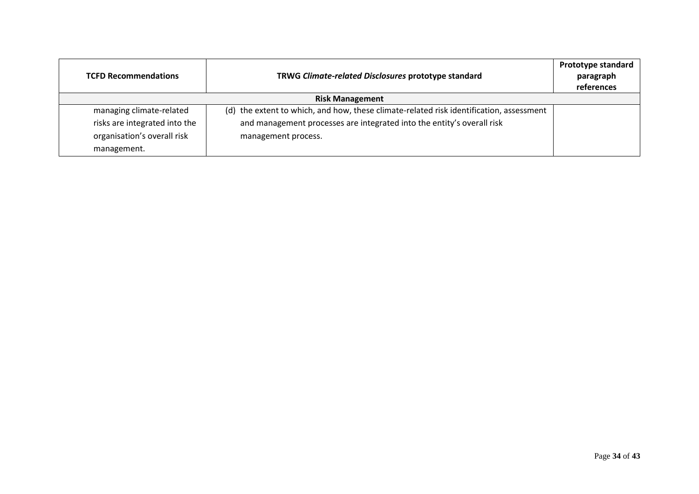| TRWG Climate-related Disclosures prototype standard<br><b>TCFD Recommendations</b> |                                                                                         | <b>Prototype standard</b><br>paragraph<br>references |
|------------------------------------------------------------------------------------|-----------------------------------------------------------------------------------------|------------------------------------------------------|
|                                                                                    | <b>Risk Management</b>                                                                  |                                                      |
| managing climate-related                                                           | (d) the extent to which, and how, these climate-related risk identification, assessment |                                                      |
| risks are integrated into the                                                      | and management processes are integrated into the entity's overall risk                  |                                                      |
| organisation's overall risk                                                        | management process.                                                                     |                                                      |
| management.                                                                        |                                                                                         |                                                      |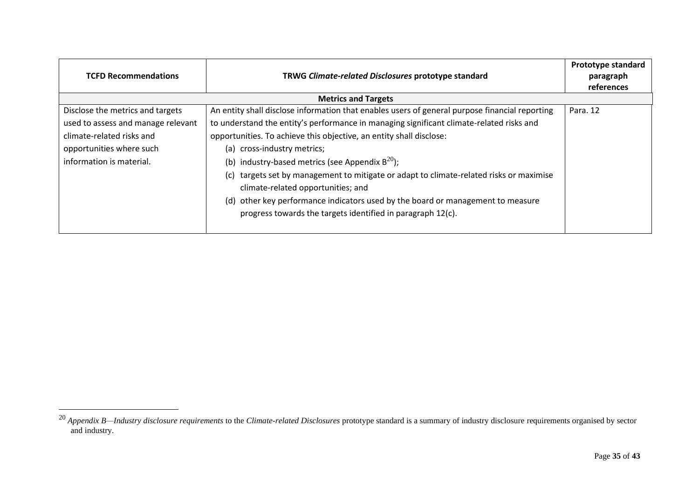| <b>TCFD Recommendations</b>        | TRWG Climate-related Disclosures prototype standard                                                                                            | Prototype standard<br>paragraph<br>references |
|------------------------------------|------------------------------------------------------------------------------------------------------------------------------------------------|-----------------------------------------------|
|                                    | <b>Metrics and Targets</b>                                                                                                                     |                                               |
| Disclose the metrics and targets   | An entity shall disclose information that enables users of general purpose financial reporting                                                 | Para, 12                                      |
| used to assess and manage relevant | to understand the entity's performance in managing significant climate-related risks and                                                       |                                               |
| climate-related risks and          | opportunities. To achieve this objective, an entity shall disclose:                                                                            |                                               |
| opportunities where such           | (a) cross-industry metrics;                                                                                                                    |                                               |
| information is material.           | (b) industry-based metrics (see Appendix $B^{20}$ );                                                                                           |                                               |
|                                    | targets set by management to mitigate or adapt to climate-related risks or maximise<br>(c)<br>climate-related opportunities; and               |                                               |
|                                    | (d) other key performance indicators used by the board or management to measure<br>progress towards the targets identified in paragraph 12(c). |                                               |

<sup>20</sup> *Appendix B—Industry disclosure requirements* to the *Climate-related Disclosures* prototype standard is a summary of industry disclosure requirements organised by sector and industry.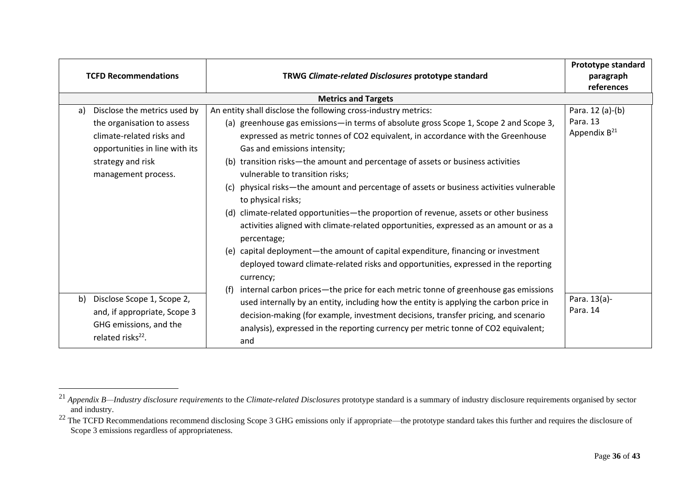|    | <b>TCFD Recommendations</b>                                                                                                                                           | TRWG Climate-related Disclosures prototype standard                                                                                                                                                                                                                                                                                                                                                                                                                                                                                                                                                                                                                                                                                                                                                                                                                                                                                                                         | Prototype standard<br>paragraph<br>references |
|----|-----------------------------------------------------------------------------------------------------------------------------------------------------------------------|-----------------------------------------------------------------------------------------------------------------------------------------------------------------------------------------------------------------------------------------------------------------------------------------------------------------------------------------------------------------------------------------------------------------------------------------------------------------------------------------------------------------------------------------------------------------------------------------------------------------------------------------------------------------------------------------------------------------------------------------------------------------------------------------------------------------------------------------------------------------------------------------------------------------------------------------------------------------------------|-----------------------------------------------|
|    |                                                                                                                                                                       | <b>Metrics and Targets</b>                                                                                                                                                                                                                                                                                                                                                                                                                                                                                                                                                                                                                                                                                                                                                                                                                                                                                                                                                  |                                               |
| a) | Disclose the metrics used by<br>the organisation to assess<br>climate-related risks and<br>opportunities in line with its<br>strategy and risk<br>management process. | Para. 12 (a)-(b)<br>An entity shall disclose the following cross-industry metrics:<br>Para. 13<br>(a) greenhouse gas emissions—in terms of absolute gross Scope 1, Scope 2 and Scope 3,<br>Appendix B <sup>21</sup><br>expressed as metric tonnes of CO2 equivalent, in accordance with the Greenhouse<br>Gas and emissions intensity;<br>(b) transition risks-the amount and percentage of assets or business activities<br>vulnerable to transition risks;<br>physical risks—the amount and percentage of assets or business activities vulnerable<br>(c)<br>to physical risks;<br>(d) climate-related opportunities—the proportion of revenue, assets or other business<br>activities aligned with climate-related opportunities, expressed as an amount or as a<br>percentage;<br>(e) capital deployment—the amount of capital expenditure, financing or investment<br>deployed toward climate-related risks and opportunities, expressed in the reporting<br>currency; |                                               |
| b) | Disclose Scope 1, Scope 2,<br>and, if appropriate, Scope 3<br>GHG emissions, and the<br>related risks <sup>22</sup> .                                                 | internal carbon prices—the price for each metric tonne of greenhouse gas emissions<br>(f)<br>used internally by an entity, including how the entity is applying the carbon price in<br>decision-making (for example, investment decisions, transfer pricing, and scenario<br>analysis), expressed in the reporting currency per metric tonne of CO2 equivalent;<br>and                                                                                                                                                                                                                                                                                                                                                                                                                                                                                                                                                                                                      | Para. 13(a)-<br>Para. 14                      |

<sup>21</sup> *Appendix B—Industry disclosure requirements* to the *Climate-related Disclosures* prototype standard is a summary of industry disclosure requirements organised by sector and industry.

<sup>&</sup>lt;sup>22</sup> The TCFD Recommendations recommend disclosing Scope 3 GHG emissions only if appropriate—the prototype standard takes this further and requires the disclosure of Scope 3 emissions regardless of appropriateness.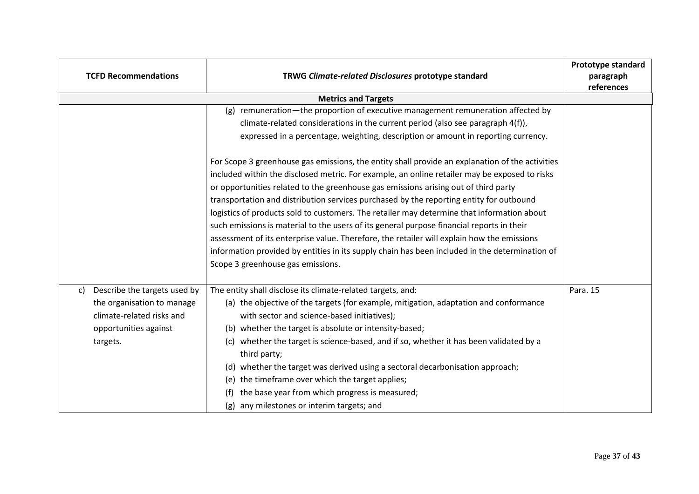|                            | <b>TCFD Recommendations</b><br>TRWG Climate-related Disclosures prototype standard                                           |                                                                                                                                                                                                                                                                                                                                                                                                                                                                                                                                                                                                                                                                                                                 |          |  |  |  |
|----------------------------|------------------------------------------------------------------------------------------------------------------------------|-----------------------------------------------------------------------------------------------------------------------------------------------------------------------------------------------------------------------------------------------------------------------------------------------------------------------------------------------------------------------------------------------------------------------------------------------------------------------------------------------------------------------------------------------------------------------------------------------------------------------------------------------------------------------------------------------------------------|----------|--|--|--|
| <b>Metrics and Targets</b> |                                                                                                                              |                                                                                                                                                                                                                                                                                                                                                                                                                                                                                                                                                                                                                                                                                                                 |          |  |  |  |
|                            |                                                                                                                              | (g) remuneration—the proportion of executive management remuneration affected by<br>climate-related considerations in the current period (also see paragraph 4(f)),<br>expressed in a percentage, weighting, description or amount in reporting currency.<br>For Scope 3 greenhouse gas emissions, the entity shall provide an explanation of the activities                                                                                                                                                                                                                                                                                                                                                    |          |  |  |  |
|                            |                                                                                                                              | included within the disclosed metric. For example, an online retailer may be exposed to risks<br>or opportunities related to the greenhouse gas emissions arising out of third party<br>transportation and distribution services purchased by the reporting entity for outbound<br>logistics of products sold to customers. The retailer may determine that information about<br>such emissions is material to the users of its general purpose financial reports in their<br>assessment of its enterprise value. Therefore, the retailer will explain how the emissions<br>information provided by entities in its supply chain has been included in the determination of<br>Scope 3 greenhouse gas emissions. |          |  |  |  |
| C)                         | Describe the targets used by<br>the organisation to manage<br>climate-related risks and<br>opportunities against<br>targets. | The entity shall disclose its climate-related targets, and:<br>(a) the objective of the targets (for example, mitigation, adaptation and conformance<br>with sector and science-based initiatives);<br>(b) whether the target is absolute or intensity-based;<br>whether the target is science-based, and if so, whether it has been validated by a<br>(c)<br>third party;<br>whether the target was derived using a sectoral decarbonisation approach;<br>(d)<br>the timeframe over which the target applies;<br>(e)<br>the base year from which progress is measured;<br>(f)<br>any milestones or interim targets; and<br>(g)                                                                                 | Para. 15 |  |  |  |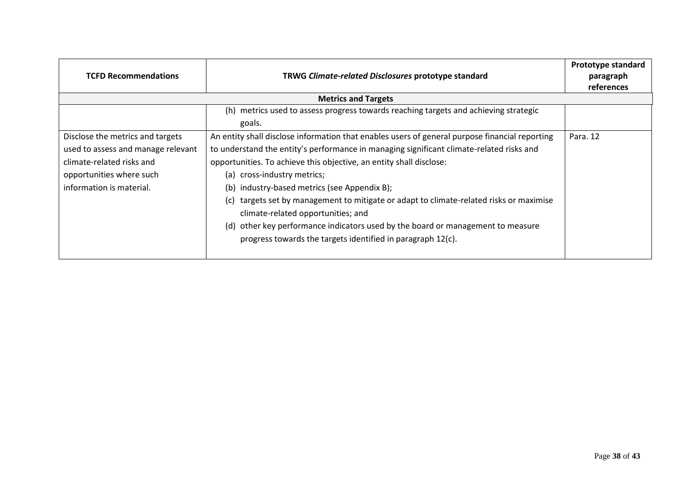| <b>TCFD Recommendations</b>                                                                                                                                 | Prototype standard<br>paragraph<br>references                                                                                                                                                                                                                                                                                                                                                                                                                                        |          |
|-------------------------------------------------------------------------------------------------------------------------------------------------------------|--------------------------------------------------------------------------------------------------------------------------------------------------------------------------------------------------------------------------------------------------------------------------------------------------------------------------------------------------------------------------------------------------------------------------------------------------------------------------------------|----------|
|                                                                                                                                                             | <b>Metrics and Targets</b>                                                                                                                                                                                                                                                                                                                                                                                                                                                           |          |
|                                                                                                                                                             | (h) metrics used to assess progress towards reaching targets and achieving strategic                                                                                                                                                                                                                                                                                                                                                                                                 |          |
|                                                                                                                                                             | goals.                                                                                                                                                                                                                                                                                                                                                                                                                                                                               |          |
| Disclose the metrics and targets<br>used to assess and manage relevant<br>climate-related risks and<br>opportunities where such<br>information is material. | An entity shall disclose information that enables users of general purpose financial reporting<br>to understand the entity's performance in managing significant climate-related risks and<br>opportunities. To achieve this objective, an entity shall disclose:<br>(a) cross-industry metrics;<br>(b) industry-based metrics (see Appendix B);<br>targets set by management to mitigate or adapt to climate-related risks or maximise<br>(C)<br>climate-related opportunities; and | Para. 12 |
|                                                                                                                                                             | other key performance indicators used by the board or management to measure<br>(d)<br>progress towards the targets identified in paragraph 12(c).                                                                                                                                                                                                                                                                                                                                    |          |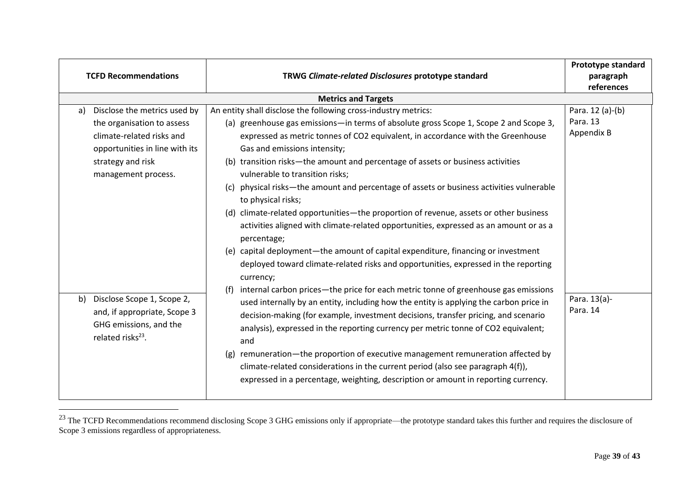| <b>TCFD Recommendations</b><br>TRWG Climate-related Disclosures prototype standard                                                                                                                                                                                                                   |                                                                                                                                                                                                                                                                                                                                                                                                                                                                                                                                                                                                                                                                                                                                                                                                                                                                                                                                                                                                                                                                                                                                                                                                                                                                                                                                                                                                                                                                     |                                                                        |  |  |  |
|------------------------------------------------------------------------------------------------------------------------------------------------------------------------------------------------------------------------------------------------------------------------------------------------------|---------------------------------------------------------------------------------------------------------------------------------------------------------------------------------------------------------------------------------------------------------------------------------------------------------------------------------------------------------------------------------------------------------------------------------------------------------------------------------------------------------------------------------------------------------------------------------------------------------------------------------------------------------------------------------------------------------------------------------------------------------------------------------------------------------------------------------------------------------------------------------------------------------------------------------------------------------------------------------------------------------------------------------------------------------------------------------------------------------------------------------------------------------------------------------------------------------------------------------------------------------------------------------------------------------------------------------------------------------------------------------------------------------------------------------------------------------------------|------------------------------------------------------------------------|--|--|--|
|                                                                                                                                                                                                                                                                                                      | <b>Metrics and Targets</b>                                                                                                                                                                                                                                                                                                                                                                                                                                                                                                                                                                                                                                                                                                                                                                                                                                                                                                                                                                                                                                                                                                                                                                                                                                                                                                                                                                                                                                          |                                                                        |  |  |  |
| Disclose the metrics used by<br>a)<br>the organisation to assess<br>climate-related risks and<br>opportunities in line with its<br>strategy and risk<br>management process.<br>Disclose Scope 1, Scope 2,<br>b)<br>and, if appropriate, Scope 3<br>GHG emissions, and the<br>related risks $^{23}$ . | An entity shall disclose the following cross-industry metrics:<br>(a) greenhouse gas emissions—in terms of absolute gross Scope 1, Scope 2 and Scope 3,<br>expressed as metric tonnes of CO2 equivalent, in accordance with the Greenhouse<br>Gas and emissions intensity;<br>(b) transition risks-the amount and percentage of assets or business activities<br>vulnerable to transition risks;<br>physical risks—the amount and percentage of assets or business activities vulnerable<br>(c)<br>to physical risks;<br>(d) climate-related opportunities—the proportion of revenue, assets or other business<br>activities aligned with climate-related opportunities, expressed as an amount or as a<br>percentage;<br>(e) capital deployment—the amount of capital expenditure, financing or investment<br>deployed toward climate-related risks and opportunities, expressed in the reporting<br>currency;<br>internal carbon prices—the price for each metric tonne of greenhouse gas emissions<br>(f)<br>used internally by an entity, including how the entity is applying the carbon price in<br>decision-making (for example, investment decisions, transfer pricing, and scenario<br>analysis), expressed in the reporting currency per metric tonne of CO2 equivalent;<br>and<br>remuneration—the proportion of executive management remuneration affected by<br>(g)<br>climate-related considerations in the current period (also see paragraph 4(f)), | Para. 12 (a)-(b)<br>Para. 13<br>Appendix B<br>Para. 13(a)-<br>Para. 14 |  |  |  |
|                                                                                                                                                                                                                                                                                                      | expressed in a percentage, weighting, description or amount in reporting currency.                                                                                                                                                                                                                                                                                                                                                                                                                                                                                                                                                                                                                                                                                                                                                                                                                                                                                                                                                                                                                                                                                                                                                                                                                                                                                                                                                                                  |                                                                        |  |  |  |

 $^{23}$  The TCFD Recommendations recommend disclosing Scope 3 GHG emissions only if appropriate—the prototype standard takes this further and requires the disclosure of Scope 3 emissions regardless of appropriateness.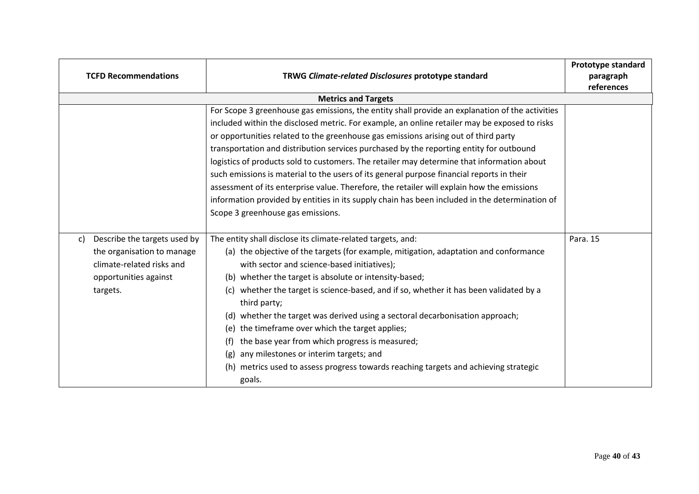| <b>TCFD Recommendations</b>                                                                                                        | <b>Prototype standard</b><br>paragraph<br>references                                                                                                                                                                                                                                                                                                                                                                                                                                                                                                                                                                                                                                                                                                                                                               |          |
|------------------------------------------------------------------------------------------------------------------------------------|--------------------------------------------------------------------------------------------------------------------------------------------------------------------------------------------------------------------------------------------------------------------------------------------------------------------------------------------------------------------------------------------------------------------------------------------------------------------------------------------------------------------------------------------------------------------------------------------------------------------------------------------------------------------------------------------------------------------------------------------------------------------------------------------------------------------|----------|
|                                                                                                                                    | <b>Metrics and Targets</b>                                                                                                                                                                                                                                                                                                                                                                                                                                                                                                                                                                                                                                                                                                                                                                                         |          |
|                                                                                                                                    | For Scope 3 greenhouse gas emissions, the entity shall provide an explanation of the activities<br>included within the disclosed metric. For example, an online retailer may be exposed to risks<br>or opportunities related to the greenhouse gas emissions arising out of third party<br>transportation and distribution services purchased by the reporting entity for outbound<br>logistics of products sold to customers. The retailer may determine that information about<br>such emissions is material to the users of its general purpose financial reports in their<br>assessment of its enterprise value. Therefore, the retailer will explain how the emissions<br>information provided by entities in its supply chain has been included in the determination of<br>Scope 3 greenhouse gas emissions. |          |
| Describe the targets used by<br>C)<br>the organisation to manage<br>climate-related risks and<br>opportunities against<br>targets. | The entity shall disclose its climate-related targets, and:<br>(a) the objective of the targets (for example, mitigation, adaptation and conformance<br>with sector and science-based initiatives);<br>(b) whether the target is absolute or intensity-based;<br>whether the target is science-based, and if so, whether it has been validated by a<br>(c)<br>third party;<br>whether the target was derived using a sectoral decarbonisation approach;<br>(d)<br>the timeframe over which the target applies;<br>(e)<br>the base year from which progress is measured;<br>(f)<br>any milestones or interim targets; and<br>(g)<br>(h) metrics used to assess progress towards reaching targets and achieving strategic<br>goals.                                                                                  | Para. 15 |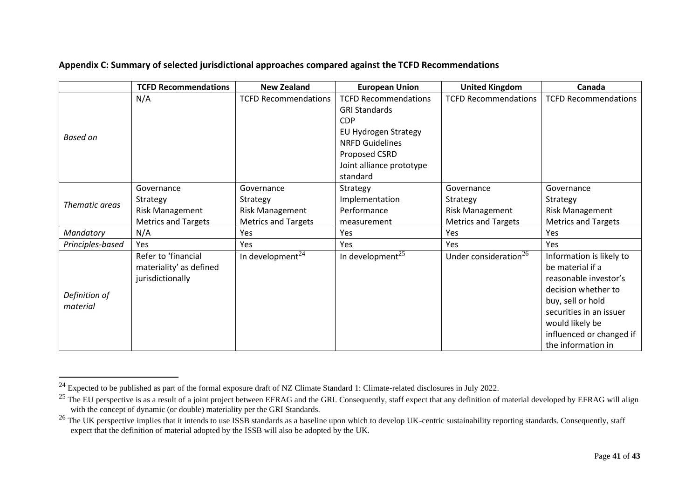|                  | <b>TCFD Recommendations</b> | <b>New Zealand</b>          | <b>European Union</b>        | <b>United Kingdom</b>             | Canada                      |
|------------------|-----------------------------|-----------------------------|------------------------------|-----------------------------------|-----------------------------|
|                  | N/A                         | <b>TCFD Recommendations</b> | <b>TCFD Recommendations</b>  | <b>TCFD Recommendations</b>       | <b>TCFD Recommendations</b> |
|                  |                             |                             | <b>GRI Standards</b>         |                                   |                             |
|                  |                             |                             | <b>CDP</b>                   |                                   |                             |
| <b>Based on</b>  |                             |                             | EU Hydrogen Strategy         |                                   |                             |
|                  |                             |                             | <b>NRFD Guidelines</b>       |                                   |                             |
|                  |                             |                             | Proposed CSRD                |                                   |                             |
|                  |                             |                             | Joint alliance prototype     |                                   |                             |
|                  |                             |                             | standard                     |                                   |                             |
|                  | Governance                  | Governance                  | Strategy                     | Governance                        | Governance                  |
| Thematic areas   | Strategy                    | Strategy                    | Implementation               | Strategy                          | Strategy                    |
|                  | <b>Risk Management</b>      | <b>Risk Management</b>      | Performance                  | <b>Risk Management</b>            | <b>Risk Management</b>      |
|                  | <b>Metrics and Targets</b>  | <b>Metrics and Targets</b>  | measurement                  | <b>Metrics and Targets</b>        | <b>Metrics and Targets</b>  |
| Mandatory        | N/A                         | Yes                         | Yes                          | Yes                               | Yes                         |
| Principles-based | Yes                         | Yes                         | Yes                          | Yes                               | Yes                         |
|                  | Refer to 'financial         | In development $^{24}$      | In development <sup>25</sup> | Under consideration <sup>26</sup> | Information is likely to    |
|                  | materiality' as defined     |                             |                              |                                   | be material if a            |
|                  | jurisdictionally            |                             |                              |                                   | reasonable investor's       |
| Definition of    |                             |                             |                              |                                   | decision whether to         |
| material         |                             |                             |                              |                                   | buy, sell or hold           |
|                  |                             |                             |                              |                                   | securities in an issuer     |
|                  |                             |                             |                              |                                   | would likely be             |
|                  |                             |                             |                              |                                   | influenced or changed if    |
|                  |                             |                             |                              |                                   | the information in          |

<sup>&</sup>lt;sup>24</sup> Expected to be published as part of the formal exposure draft of NZ Climate Standard 1: Climate-related disclosures in July 2022.

<sup>&</sup>lt;sup>25</sup> The EU perspective is as a result of a joint project between EFRAG and the GRI. Consequently, staff expect that any definition of material developed by EFRAG will align with the concept of dynamic (or double) materiality per the GRI Standards.

 $26$  The UK perspective implies that it intends to use ISSB standards as a baseline upon which to develop UK-centric sustainability reporting standards. Consequently, staff expect that the definition of material adopted by the ISSB will also be adopted by the UK.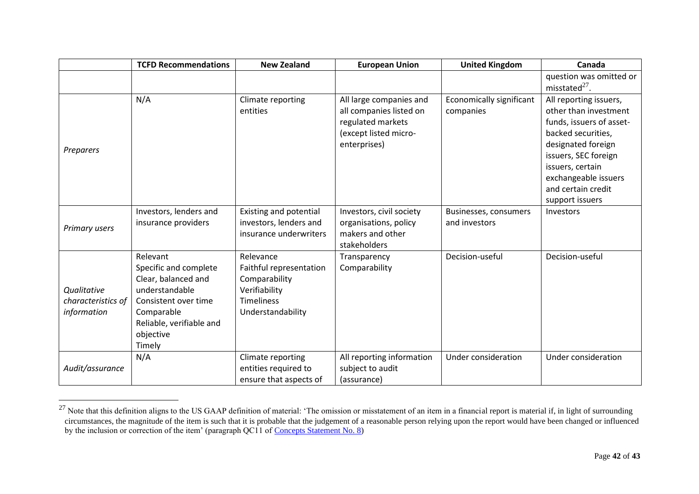|                                                  | <b>TCFD Recommendations</b>                                                                                                                                         | <b>New Zealand</b>                                                                                               | <b>European Union</b>                                                                                            | <b>United Kingdom</b>                  | Canada                                                                                                                                                                                                                               |
|--------------------------------------------------|---------------------------------------------------------------------------------------------------------------------------------------------------------------------|------------------------------------------------------------------------------------------------------------------|------------------------------------------------------------------------------------------------------------------|----------------------------------------|--------------------------------------------------------------------------------------------------------------------------------------------------------------------------------------------------------------------------------------|
|                                                  |                                                                                                                                                                     |                                                                                                                  |                                                                                                                  |                                        | question was omitted or<br>misstated $^{27}$ .                                                                                                                                                                                       |
| Preparers                                        | N/A                                                                                                                                                                 | Climate reporting<br>entities                                                                                    | All large companies and<br>all companies listed on<br>regulated markets<br>(except listed micro-<br>enterprises) | Economically significant<br>companies  | All reporting issuers,<br>other than investment<br>funds, issuers of asset-<br>backed securities,<br>designated foreign<br>issuers, SEC foreign<br>issuers, certain<br>exchangeable issuers<br>and certain credit<br>support issuers |
| Primary users                                    | Investors, lenders and<br>insurance providers                                                                                                                       | Existing and potential<br>investors, lenders and<br>insurance underwriters                                       | Investors, civil society<br>organisations, policy<br>makers and other<br>stakeholders                            | Businesses, consumers<br>and investors | Investors                                                                                                                                                                                                                            |
| Qualitative<br>characteristics of<br>information | Relevant<br>Specific and complete<br>Clear, balanced and<br>understandable<br>Consistent over time<br>Comparable<br>Reliable, verifiable and<br>objective<br>Timely | Relevance<br>Faithful representation<br>Comparability<br>Verifiability<br><b>Timeliness</b><br>Understandability | Transparency<br>Comparability                                                                                    | Decision-useful                        | Decision-useful                                                                                                                                                                                                                      |
| Audit/assurance                                  | N/A                                                                                                                                                                 | Climate reporting<br>entities required to<br>ensure that aspects of                                              | All reporting information<br>subject to audit<br>(assurance)                                                     | Under consideration                    | Under consideration                                                                                                                                                                                                                  |

<sup>&</sup>lt;sup>27</sup> Note that this definition aligns to the US GAAP definition of material: 'The omission or misstatement of an item in a financial report is material if, in light of surrounding circumstances, the magnitude of the item is such that it is probable that the judgement of a reasonable person relying upon the report would have been changed or influenced by the inclusion or correction of the item' (paragraph QC11 of [Concepts Statement No. 8\)](https://www.fasb.org/jsp/FASB/Document_C/DocumentPage?cid=1176171111398&acceptedDisclaimer=true)